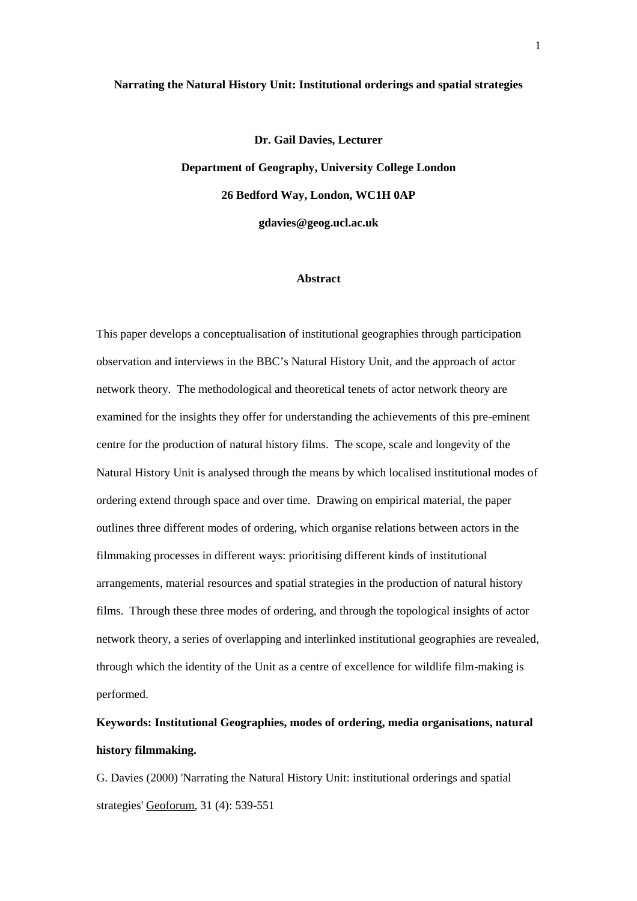#### **Narrating the Natural History Unit: Institutional orderings and spatial strategies**

**Dr. Gail Davies, Lecturer Department of Geography, University College London 26 Bedford Way, London, WC1H 0AP gdavies@geog.ucl.ac.uk**

#### **Abstract**

This paper develops a conceptualisation of institutional geographies through participation observation and interviews in the BBC's Natural History Unit, and the approach of actor network theory. The methodological and theoretical tenets of actor network theory are examined for the insights they offer for understanding the achievements of this pre-eminent centre for the production of natural history films. The scope, scale and longevity of the Natural History Unit is analysed through the means by which localised institutional modes of ordering extend through space and over time. Drawing on empirical material, the paper outlines three different modes of ordering, which organise relations between actors in the filmmaking processes in different ways: prioritising different kinds of institutional arrangements, material resources and spatial strategies in the production of natural history films. Through these three modes of ordering, and through the topological insights of actor network theory, a series of overlapping and interlinked institutional geographies are revealed, through which the identity of the Unit as a centre of excellence for wildlife film-making is performed.

# **Keywords: Institutional Geographies, modes of ordering, media organisations, natural history filmmaking.**

G. Davies (2000) 'Narrating the Natural History Unit: institutional orderings and spatial strategies' Geoforum, 31 (4): 539-551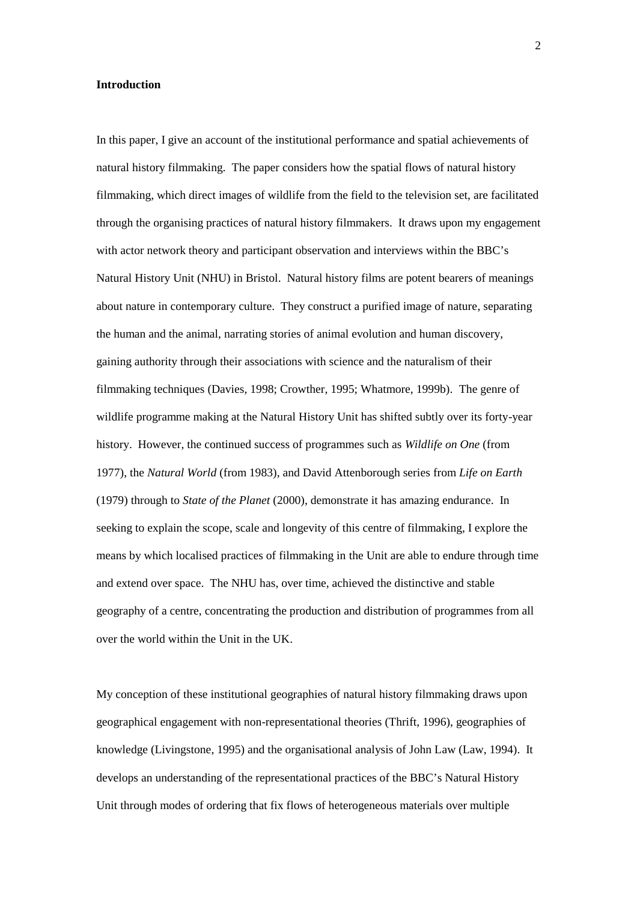### **Introduction**

In this paper, I give an account of the institutional performance and spatial achievements of natural history filmmaking. The paper considers how the spatial flows of natural history filmmaking, which direct images of wildlife from the field to the television set, are facilitated through the organising practices of natural history filmmakers. It draws upon my engagement with actor network theory and participant observation and interviews within the BBC's Natural History Unit (NHU) in Bristol. Natural history films are potent bearers of meanings about nature in contemporary culture. They construct a purified image of nature, separating the human and the animal, narrating stories of animal evolution and human discovery, gaining authority through their associations with science and the naturalism of their filmmaking techniques (Davies, 1998; Crowther, 1995; Whatmore, 1999b). The genre of wildlife programme making at the Natural History Unit has shifted subtly over its forty-year history. However, the continued success of programmes such as *Wildlife on One* (from 1977), the *Natural World* (from 1983), and David Attenborough series from *Life on Earth* (1979) through to *State of the Planet* (2000), demonstrate it has amazing endurance. In seeking to explain the scope, scale and longevity of this centre of filmmaking, I explore the means by which localised practices of filmmaking in the Unit are able to endure through time and extend over space. The NHU has, over time, achieved the distinctive and stable geography of a centre, concentrating the production and distribution of programmes from all over the world within the Unit in the UK.

My conception of these institutional geographies of natural history filmmaking draws upon geographical engagement with non-representational theories (Thrift, 1996), geographies of knowledge (Livingstone, 1995) and the organisational analysis of John Law (Law, 1994). It develops an understanding of the representational practices of the BBC's Natural History Unit through modes of ordering that fix flows of heterogeneous materials over multiple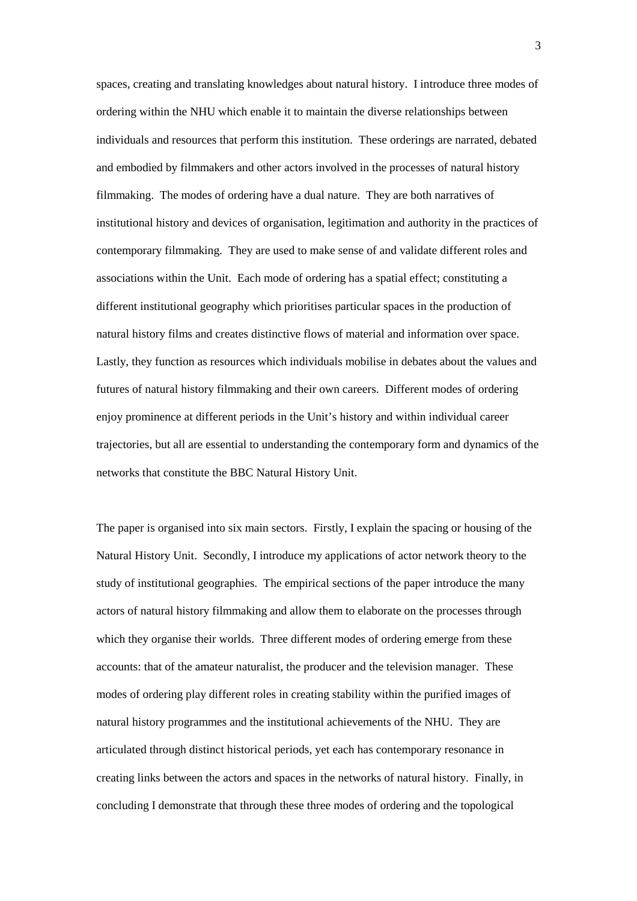spaces, creating and translating knowledges about natural history. I introduce three modes of ordering within the NHU which enable it to maintain the diverse relationships between individuals and resources that perform this institution. These orderings are narrated, debated and embodied by filmmakers and other actors involved in the processes of natural history filmmaking. The modes of ordering have a dual nature. They are both narratives of institutional history and devices of organisation, legitimation and authority in the practices of contemporary filmmaking. They are used to make sense of and validate different roles and associations within the Unit. Each mode of ordering has a spatial effect; constituting a different institutional geography which prioritises particular spaces in the production of natural history films and creates distinctive flows of material and information over space. Lastly, they function as resources which individuals mobilise in debates about the values and futures of natural history filmmaking and their own careers. Different modes of ordering enjoy prominence at different periods in the Unit's history and within individual career trajectories, but all are essential to understanding the contemporary form and dynamics of the networks that constitute the BBC Natural History Unit.

The paper is organised into six main sectors. Firstly, I explain the spacing or housing of the Natural History Unit. Secondly, I introduce my applications of actor network theory to the study of institutional geographies. The empirical sections of the paper introduce the many actors of natural history filmmaking and allow them to elaborate on the processes through which they organise their worlds. Three different modes of ordering emerge from these accounts: that of the amateur naturalist, the producer and the television manager. These modes of ordering play different roles in creating stability within the purified images of natural history programmes and the institutional achievements of the NHU. They are articulated through distinct historical periods, yet each has contemporary resonance in creating links between the actors and spaces in the networks of natural history. Finally, in concluding I demonstrate that through these three modes of ordering and the topological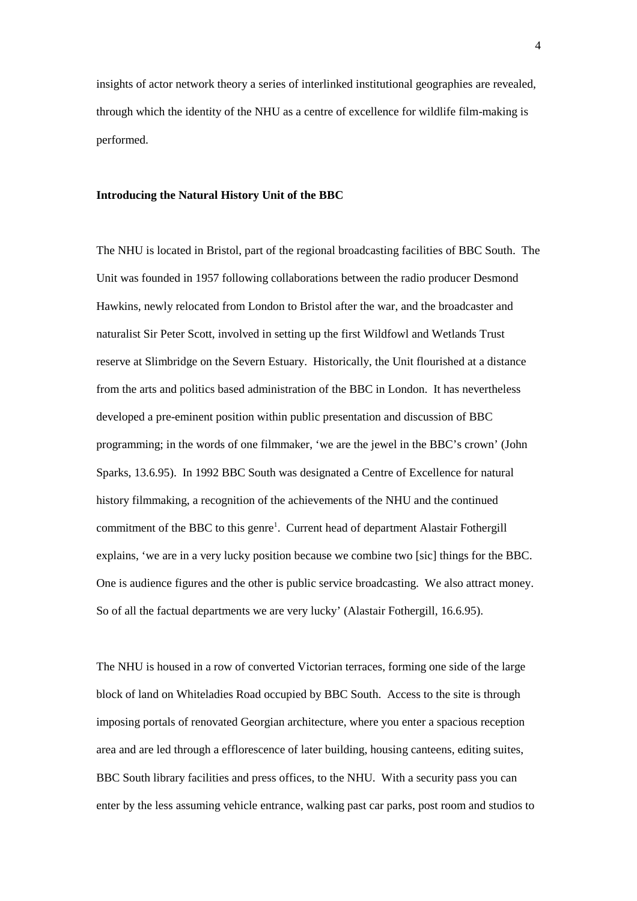insights of actor network theory a series of interlinked institutional geographies are revealed, through which the identity of the NHU as a centre of excellence for wildlife film-making is performed.

## **Introducing the Natural History Unit of the BBC**

The NHU is located in Bristol, part of the regional broadcasting facilities of BBC South. The Unit was founded in 1957 following collaborations between the radio producer Desmond Hawkins, newly relocated from London to Bristol after the war, and the broadcaster and naturalist Sir Peter Scott, involved in setting up the first Wildfowl and Wetlands Trust reserve at Slimbridge on the Severn Estuary. Historically, the Unit flourished at a distance from the arts and politics based administration of the BBC in London. It has nevertheless developed a pre-eminent position within public presentation and discussion of BBC programming; in the words of one filmmaker, 'we are the jewel in the BBC's crown' (John Sparks, 13.6.95). In 1992 BBC South was designated a Centre of Excellence for natural history filmmaking, a recognition of the achievements of the NHU and the continued commitment of the BBC to this genre<sup>1</sup>. Current head of department Alastair Fothergill explains, 'we are in a very lucky position because we combine two [sic] things for the BBC. One is audience figures and the other is public service broadcasting. We also attract money. So of all the factual departments we are very lucky' (Alastair Fothergill, 16.6.95).

The NHU is housed in a row of converted Victorian terraces, forming one side of the large block of land on Whiteladies Road occupied by BBC South. Access to the site is through imposing portals of renovated Georgian architecture, where you enter a spacious reception area and are led through a efflorescence of later building, housing canteens, editing suites, BBC South library facilities and press offices, to the NHU. With a security pass you can enter by the less assuming vehicle entrance, walking past car parks, post room and studios to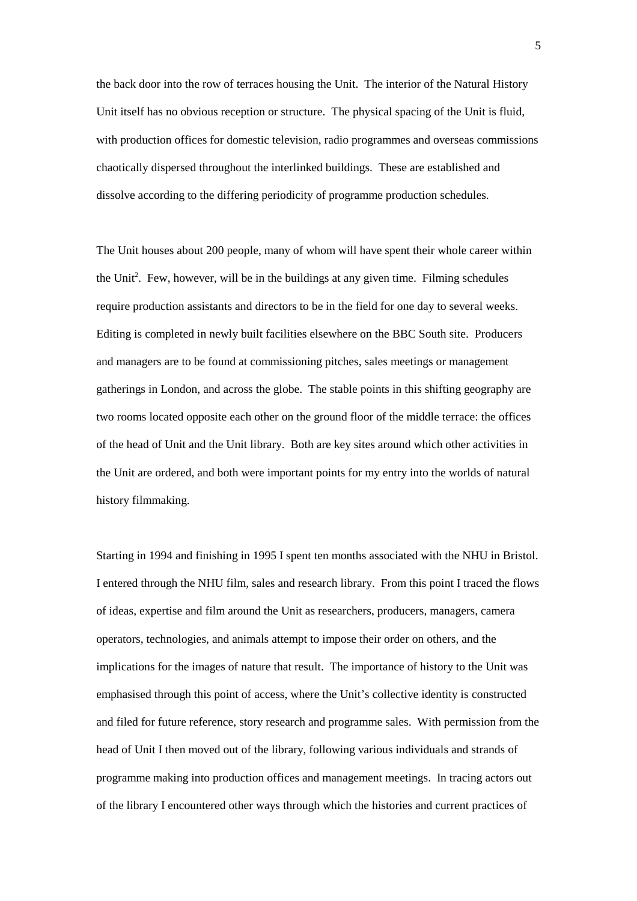the back door into the row of terraces housing the Unit. The interior of the Natural History Unit itself has no obvious reception or structure. The physical spacing of the Unit is fluid, with production offices for domestic television, radio programmes and overseas commissions chaotically dispersed throughout the interlinked buildings. These are established and dissolve according to the differing periodicity of programme production schedules.

The Unit houses about 200 people, many of whom will have spent their whole career within the Unit<sup>2</sup>. Few, however, will be in the buildings at any given time. Filming schedules require production assistants and directors to be in the field for one day to several weeks. Editing is completed in newly built facilities elsewhere on the BBC South site. Producers and managers are to be found at commissioning pitches, sales meetings or management gatherings in London, and across the globe. The stable points in this shifting geography are two rooms located opposite each other on the ground floor of the middle terrace: the offices of the head of Unit and the Unit library. Both are key sites around which other activities in the Unit are ordered, and both were important points for my entry into the worlds of natural history filmmaking.

Starting in 1994 and finishing in 1995 I spent ten months associated with the NHU in Bristol. I entered through the NHU film, sales and research library. From this point I traced the flows of ideas, expertise and film around the Unit as researchers, producers, managers, camera operators, technologies, and animals attempt to impose their order on others, and the implications for the images of nature that result. The importance of history to the Unit was emphasised through this point of access, where the Unit's collective identity is constructed and filed for future reference, story research and programme sales. With permission from the head of Unit I then moved out of the library, following various individuals and strands of programme making into production offices and management meetings. In tracing actors out of the library I encountered other ways through which the histories and current practices of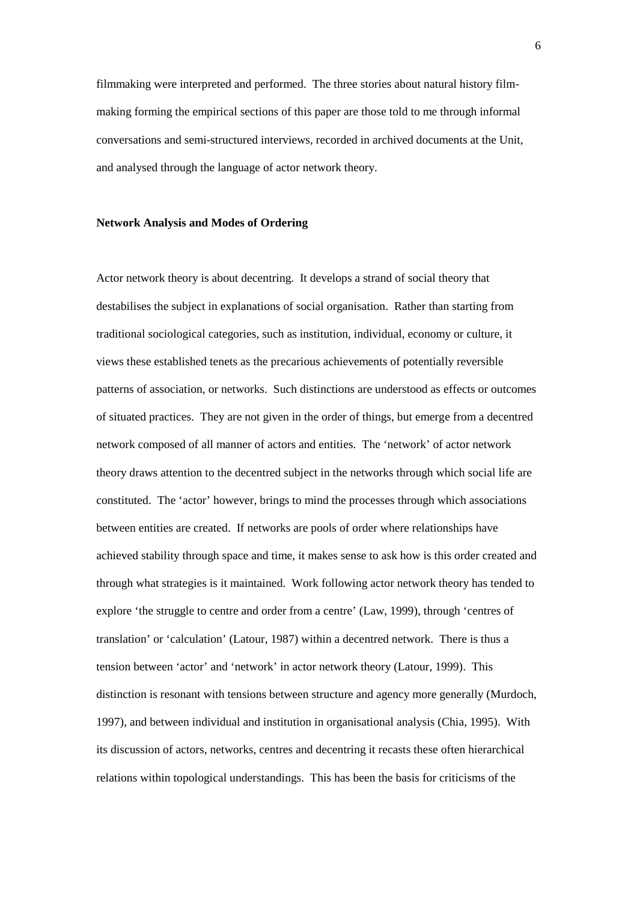filmmaking were interpreted and performed. The three stories about natural history filmmaking forming the empirical sections of this paper are those told to me through informal conversations and semi-structured interviews, recorded in archived documents at the Unit, and analysed through the language of actor network theory.

## **Network Analysis and Modes of Ordering**

Actor network theory is about decentring. It develops a strand of social theory that destabilises the subject in explanations of social organisation. Rather than starting from traditional sociological categories, such as institution, individual, economy or culture, it views these established tenets as the precarious achievements of potentially reversible patterns of association, or networks. Such distinctions are understood as effects or outcomes of situated practices. They are not given in the order of things, but emerge from a decentred network composed of all manner of actors and entities. The 'network' of actor network theory draws attention to the decentred subject in the networks through which social life are constituted. The 'actor' however, brings to mind the processes through which associations between entities are created. If networks are pools of order where relationships have achieved stability through space and time, it makes sense to ask how is this order created and through what strategies is it maintained. Work following actor network theory has tended to explore 'the struggle to centre and order from a centre' (Law, 1999), through 'centres of translation' or 'calculation' (Latour, 1987) within a decentred network. There is thus a tension between 'actor' and 'network' in actor network theory (Latour, 1999). This distinction is resonant with tensions between structure and agency more generally (Murdoch, 1997), and between individual and institution in organisational analysis (Chia, 1995). With its discussion of actors, networks, centres and decentring it recasts these often hierarchical relations within topological understandings. This has been the basis for criticisms of the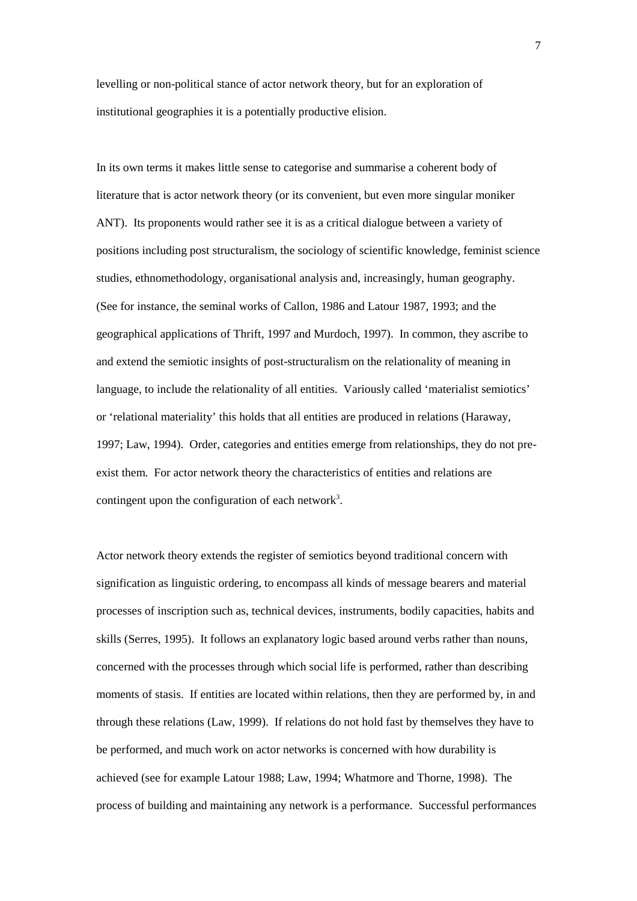levelling or non-political stance of actor network theory, but for an exploration of institutional geographies it is a potentially productive elision.

In its own terms it makes little sense to categorise and summarise a coherent body of literature that is actor network theory (or its convenient, but even more singular moniker ANT). Its proponents would rather see it is as a critical dialogue between a variety of positions including post structuralism, the sociology of scientific knowledge, feminist science studies, ethnomethodology, organisational analysis and, increasingly, human geography. (See for instance, the seminal works of Callon, 1986 and Latour 1987, 1993; and the geographical applications of Thrift, 1997 and Murdoch, 1997). In common, they ascribe to and extend the semiotic insights of post-structuralism on the relationality of meaning in language, to include the relationality of all entities. Variously called 'materialist semiotics' or 'relational materiality' this holds that all entities are produced in relations (Haraway, 1997; Law, 1994). Order, categories and entities emerge from relationships, they do not preexist them. For actor network theory the characteristics of entities and relations are contingent upon the configuration of each network<sup>3</sup>.

Actor network theory extends the register of semiotics beyond traditional concern with signification as linguistic ordering, to encompass all kinds of message bearers and material processes of inscription such as, technical devices, instruments, bodily capacities, habits and skills (Serres, 1995). It follows an explanatory logic based around verbs rather than nouns, concerned with the processes through which social life is performed, rather than describing moments of stasis. If entities are located within relations, then they are performed by, in and through these relations (Law, 1999). If relations do not hold fast by themselves they have to be performed, and much work on actor networks is concerned with how durability is achieved (see for example Latour 1988; Law, 1994; Whatmore and Thorne, 1998). The process of building and maintaining any network is a performance. Successful performances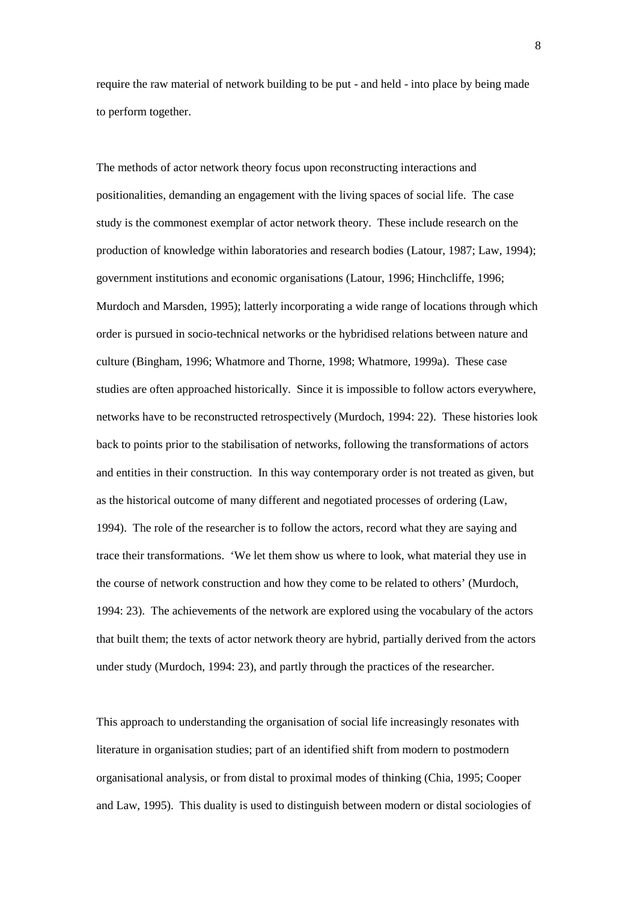require the raw material of network building to be put - and held - into place by being made to perform together.

The methods of actor network theory focus upon reconstructing interactions and positionalities, demanding an engagement with the living spaces of social life. The case study is the commonest exemplar of actor network theory. These include research on the production of knowledge within laboratories and research bodies (Latour, 1987; Law, 1994); government institutions and economic organisations (Latour, 1996; Hinchcliffe, 1996; Murdoch and Marsden, 1995); latterly incorporating a wide range of locations through which order is pursued in socio-technical networks or the hybridised relations between nature and culture (Bingham, 1996; Whatmore and Thorne, 1998; Whatmore, 1999a). These case studies are often approached historically. Since it is impossible to follow actors everywhere, networks have to be reconstructed retrospectively (Murdoch, 1994: 22). These histories look back to points prior to the stabilisation of networks, following the transformations of actors and entities in their construction. In this way contemporary order is not treated as given, but as the historical outcome of many different and negotiated processes of ordering (Law, 1994). The role of the researcher is to follow the actors, record what they are saying and trace their transformations. 'We let them show us where to look, what material they use in the course of network construction and how they come to be related to others' (Murdoch, 1994: 23). The achievements of the network are explored using the vocabulary of the actors that built them; the texts of actor network theory are hybrid, partially derived from the actors under study (Murdoch, 1994: 23), and partly through the practices of the researcher.

This approach to understanding the organisation of social life increasingly resonates with literature in organisation studies; part of an identified shift from modern to postmodern organisational analysis, or from distal to proximal modes of thinking (Chia, 1995; Cooper and Law, 1995). This duality is used to distinguish between modern or distal sociologies of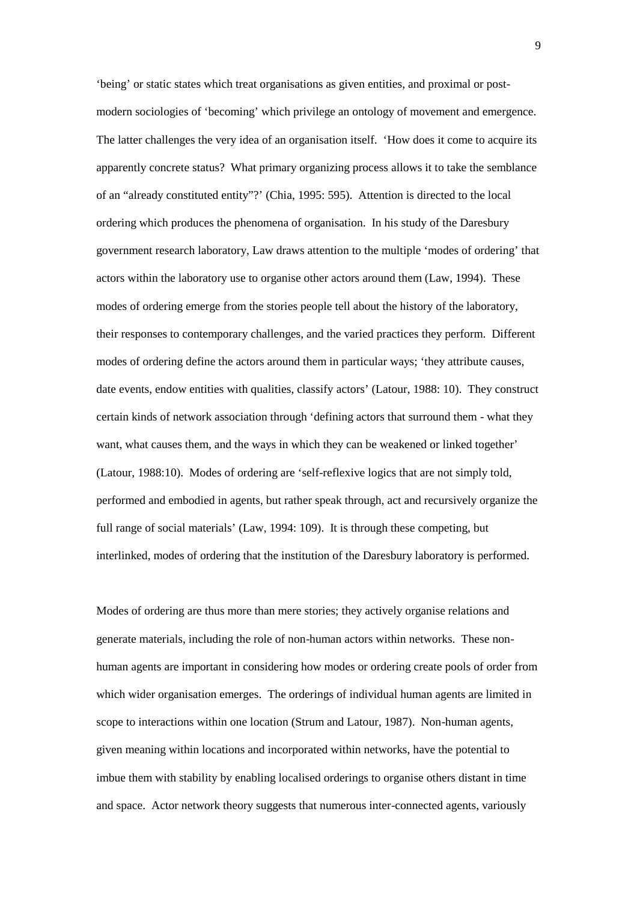'being' or static states which treat organisations as given entities, and proximal or postmodern sociologies of 'becoming' which privilege an ontology of movement and emergence. The latter challenges the very idea of an organisation itself. 'How does it come to acquire its apparently concrete status? What primary organizing process allows it to take the semblance of an "already constituted entity"?' (Chia, 1995: 595). Attention is directed to the local ordering which produces the phenomena of organisation. In his study of the Daresbury government research laboratory, Law draws attention to the multiple 'modes of ordering' that actors within the laboratory use to organise other actors around them (Law, 1994). These modes of ordering emerge from the stories people tell about the history of the laboratory, their responses to contemporary challenges, and the varied practices they perform. Different modes of ordering define the actors around them in particular ways; 'they attribute causes, date events, endow entities with qualities, classify actors' (Latour, 1988: 10). They construct certain kinds of network association through 'defining actors that surround them - what they want, what causes them, and the ways in which they can be weakened or linked together' (Latour, 1988:10). Modes of ordering are 'self-reflexive logics that are not simply told, performed and embodied in agents, but rather speak through, act and recursively organize the full range of social materials' (Law, 1994: 109). It is through these competing, but interlinked, modes of ordering that the institution of the Daresbury laboratory is performed.

Modes of ordering are thus more than mere stories; they actively organise relations and generate materials, including the role of non-human actors within networks. These nonhuman agents are important in considering how modes or ordering create pools of order from which wider organisation emerges. The orderings of individual human agents are limited in scope to interactions within one location (Strum and Latour, 1987). Non-human agents, given meaning within locations and incorporated within networks, have the potential to imbue them with stability by enabling localised orderings to organise others distant in time and space. Actor network theory suggests that numerous inter-connected agents, variously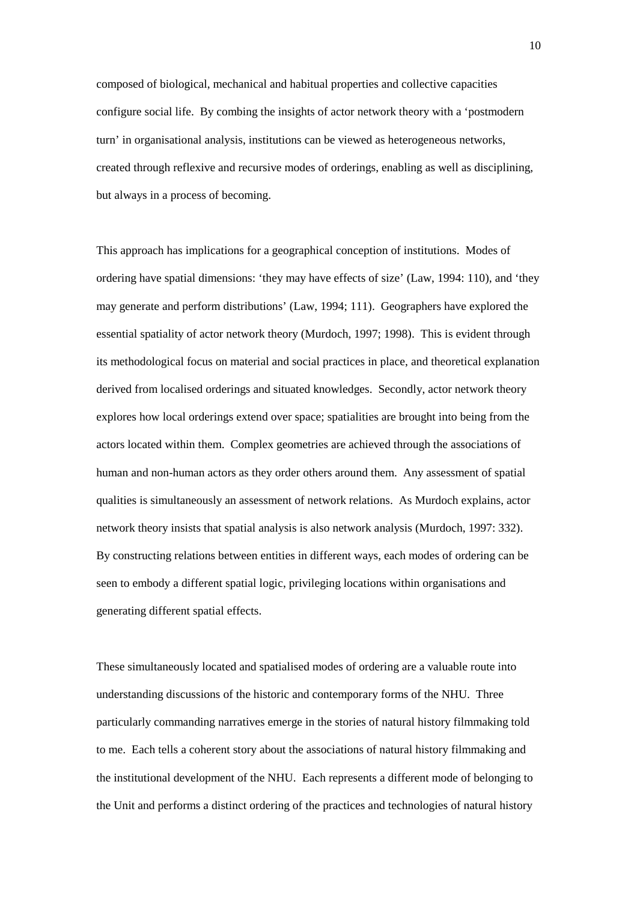composed of biological, mechanical and habitual properties and collective capacities configure social life. By combing the insights of actor network theory with a 'postmodern turn' in organisational analysis, institutions can be viewed as heterogeneous networks, created through reflexive and recursive modes of orderings, enabling as well as disciplining, but always in a process of becoming.

This approach has implications for a geographical conception of institutions. Modes of ordering have spatial dimensions: 'they may have effects of size' (Law, 1994: 110), and 'they may generate and perform distributions' (Law, 1994; 111). Geographers have explored the essential spatiality of actor network theory (Murdoch, 1997; 1998). This is evident through its methodological focus on material and social practices in place, and theoretical explanation derived from localised orderings and situated knowledges. Secondly, actor network theory explores how local orderings extend over space; spatialities are brought into being from the actors located within them. Complex geometries are achieved through the associations of human and non-human actors as they order others around them. Any assessment of spatial qualities is simultaneously an assessment of network relations. As Murdoch explains, actor network theory insists that spatial analysis is also network analysis (Murdoch, 1997: 332). By constructing relations between entities in different ways, each modes of ordering can be seen to embody a different spatial logic, privileging locations within organisations and generating different spatial effects.

These simultaneously located and spatialised modes of ordering are a valuable route into understanding discussions of the historic and contemporary forms of the NHU. Three particularly commanding narratives emerge in the stories of natural history filmmaking told to me. Each tells a coherent story about the associations of natural history filmmaking and the institutional development of the NHU. Each represents a different mode of belonging to the Unit and performs a distinct ordering of the practices and technologies of natural history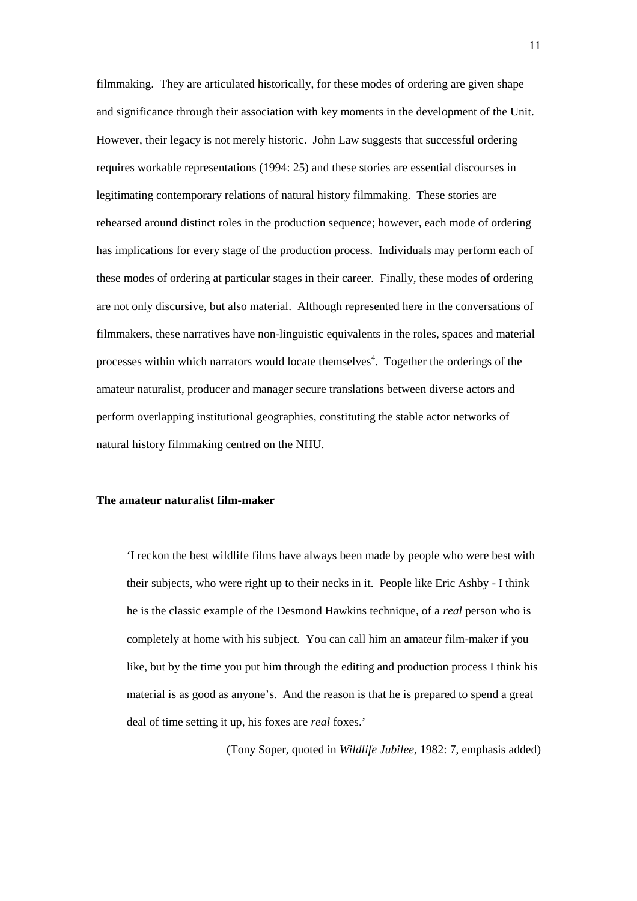filmmaking. They are articulated historically, for these modes of ordering are given shape and significance through their association with key moments in the development of the Unit. However, their legacy is not merely historic. John Law suggests that successful ordering requires workable representations (1994: 25) and these stories are essential discourses in legitimating contemporary relations of natural history filmmaking. These stories are rehearsed around distinct roles in the production sequence; however, each mode of ordering has implications for every stage of the production process. Individuals may perform each of these modes of ordering at particular stages in their career. Finally, these modes of ordering are not only discursive, but also material. Although represented here in the conversations of filmmakers, these narratives have non-linguistic equivalents in the roles, spaces and material processes within which narrators would locate themselves<sup>4</sup>. Together the orderings of the amateur naturalist, producer and manager secure translations between diverse actors and perform overlapping institutional geographies, constituting the stable actor networks of natural history filmmaking centred on the NHU.

## **The amateur naturalist film-maker**

'I reckon the best wildlife films have always been made by people who were best with their subjects, who were right up to their necks in it. People like Eric Ashby - I think he is the classic example of the Desmond Hawkins technique, of a *real* person who is completely at home with his subject. You can call him an amateur film-maker if you like, but by the time you put him through the editing and production process I think his material is as good as anyone's. And the reason is that he is prepared to spend a great deal of time setting it up, his foxes are *real* foxes.'

(Tony Soper, quoted in *Wildlife Jubilee*, 1982: 7, emphasis added)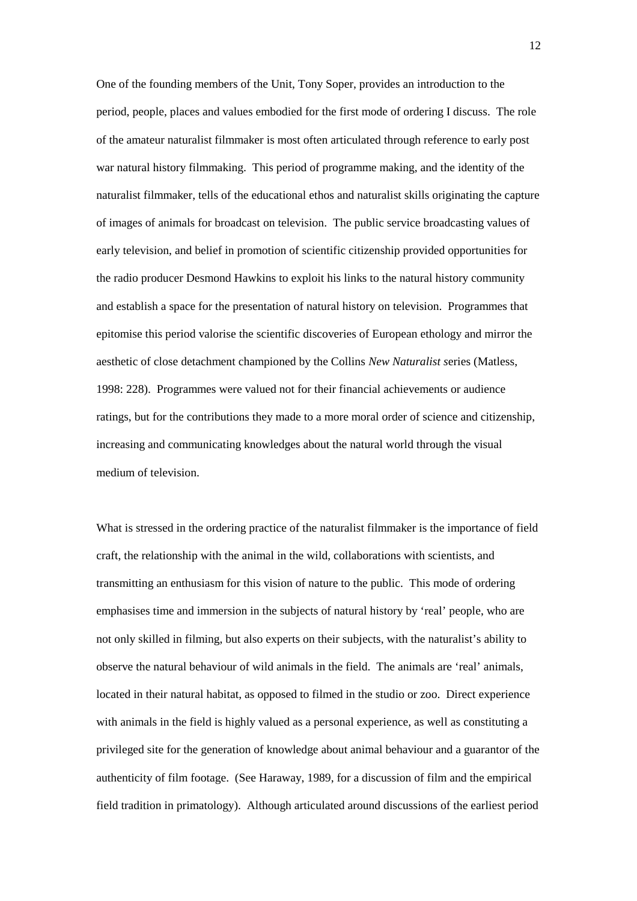One of the founding members of the Unit, Tony Soper, provides an introduction to the period, people, places and values embodied for the first mode of ordering I discuss. The role of the amateur naturalist filmmaker is most often articulated through reference to early post war natural history filmmaking. This period of programme making, and the identity of the naturalist filmmaker, tells of the educational ethos and naturalist skills originating the capture of images of animals for broadcast on television. The public service broadcasting values of early television, and belief in promotion of scientific citizenship provided opportunities for the radio producer Desmond Hawkins to exploit his links to the natural history community and establish a space for the presentation of natural history on television. Programmes that epitomise this period valorise the scientific discoveries of European ethology and mirror the aesthetic of close detachment championed by the Collins *New Naturalist s*eries (Matless, 1998: 228). Programmes were valued not for their financial achievements or audience ratings, but for the contributions they made to a more moral order of science and citizenship, increasing and communicating knowledges about the natural world through the visual medium of television.

What is stressed in the ordering practice of the naturalist filmmaker is the importance of field craft, the relationship with the animal in the wild, collaborations with scientists, and transmitting an enthusiasm for this vision of nature to the public. This mode of ordering emphasises time and immersion in the subjects of natural history by 'real' people, who are not only skilled in filming, but also experts on their subjects, with the naturalist's ability to observe the natural behaviour of wild animals in the field. The animals are 'real' animals, located in their natural habitat, as opposed to filmed in the studio or zoo. Direct experience with animals in the field is highly valued as a personal experience, as well as constituting a privileged site for the generation of knowledge about animal behaviour and a guarantor of the authenticity of film footage. (See Haraway, 1989, for a discussion of film and the empirical field tradition in primatology). Although articulated around discussions of the earliest period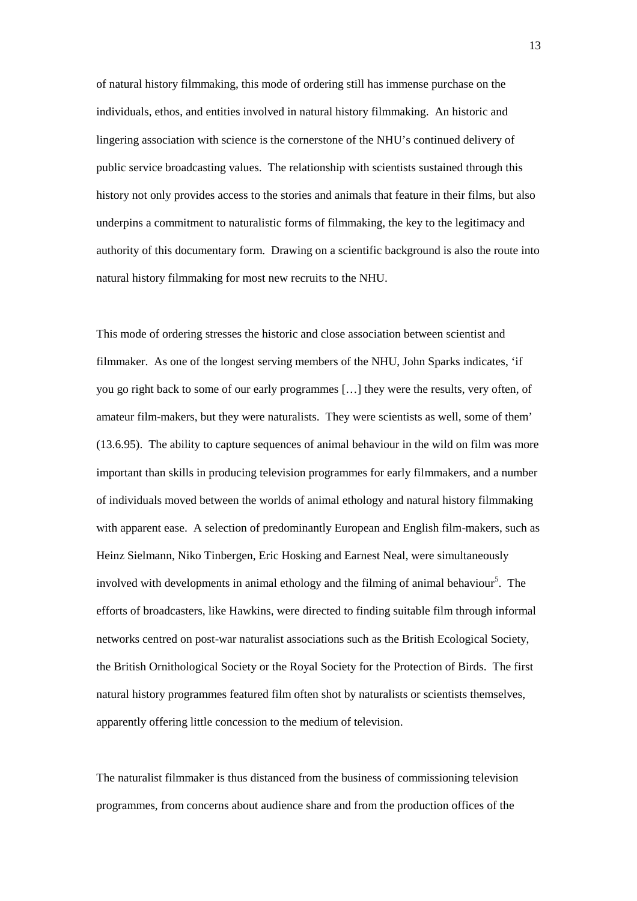of natural history filmmaking, this mode of ordering still has immense purchase on the individuals, ethos, and entities involved in natural history filmmaking. An historic and lingering association with science is the cornerstone of the NHU's continued delivery of public service broadcasting values. The relationship with scientists sustained through this history not only provides access to the stories and animals that feature in their films, but also underpins a commitment to naturalistic forms of filmmaking, the key to the legitimacy and authority of this documentary form. Drawing on a scientific background is also the route into natural history filmmaking for most new recruits to the NHU.

This mode of ordering stresses the historic and close association between scientist and filmmaker. As one of the longest serving members of the NHU, John Sparks indicates, 'if you go right back to some of our early programmes […] they were the results, very often, of amateur film-makers, but they were naturalists. They were scientists as well, some of them' (13.6.95). The ability to capture sequences of animal behaviour in the wild on film was more important than skills in producing television programmes for early filmmakers, and a number of individuals moved between the worlds of animal ethology and natural history filmmaking with apparent ease. A selection of predominantly European and English film-makers, such as Heinz Sielmann, Niko Tinbergen, Eric Hosking and Earnest Neal, were simultaneously involved with developments in animal ethology and the filming of animal behaviour<sup>5</sup>. The efforts of broadcasters, like Hawkins, were directed to finding suitable film through informal networks centred on post-war naturalist associations such as the British Ecological Society, the British Ornithological Society or the Royal Society for the Protection of Birds. The first natural history programmes featured film often shot by naturalists or scientists themselves, apparently offering little concession to the medium of television.

The naturalist filmmaker is thus distanced from the business of commissioning television programmes, from concerns about audience share and from the production offices of the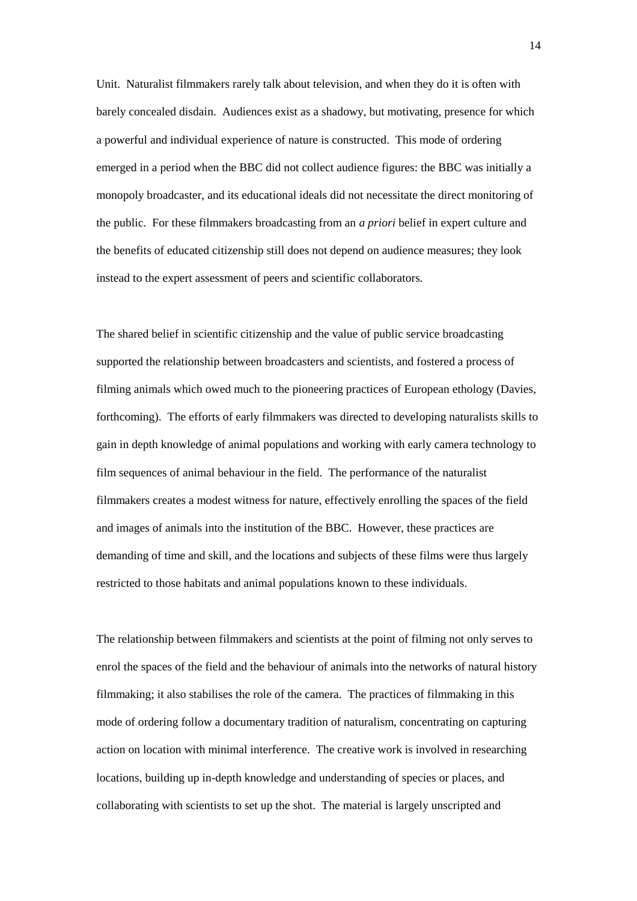Unit. Naturalist filmmakers rarely talk about television, and when they do it is often with barely concealed disdain. Audiences exist as a shadowy, but motivating, presence for which a powerful and individual experience of nature is constructed. This mode of ordering emerged in a period when the BBC did not collect audience figures: the BBC was initially a monopoly broadcaster, and its educational ideals did not necessitate the direct monitoring of the public. For these filmmakers broadcasting from an *a priori* belief in expert culture and the benefits of educated citizenship still does not depend on audience measures; they look instead to the expert assessment of peers and scientific collaborators.

The shared belief in scientific citizenship and the value of public service broadcasting supported the relationship between broadcasters and scientists, and fostered a process of filming animals which owed much to the pioneering practices of European ethology (Davies, forthcoming). The efforts of early filmmakers was directed to developing naturalists skills to gain in depth knowledge of animal populations and working with early camera technology to film sequences of animal behaviour in the field. The performance of the naturalist filmmakers creates a modest witness for nature, effectively enrolling the spaces of the field and images of animals into the institution of the BBC. However, these practices are demanding of time and skill, and the locations and subjects of these films were thus largely restricted to those habitats and animal populations known to these individuals.

The relationship between filmmakers and scientists at the point of filming not only serves to enrol the spaces of the field and the behaviour of animals into the networks of natural history filmmaking; it also stabilises the role of the camera. The practices of filmmaking in this mode of ordering follow a documentary tradition of naturalism, concentrating on capturing action on location with minimal interference. The creative work is involved in researching locations, building up in-depth knowledge and understanding of species or places, and collaborating with scientists to set up the shot. The material is largely unscripted and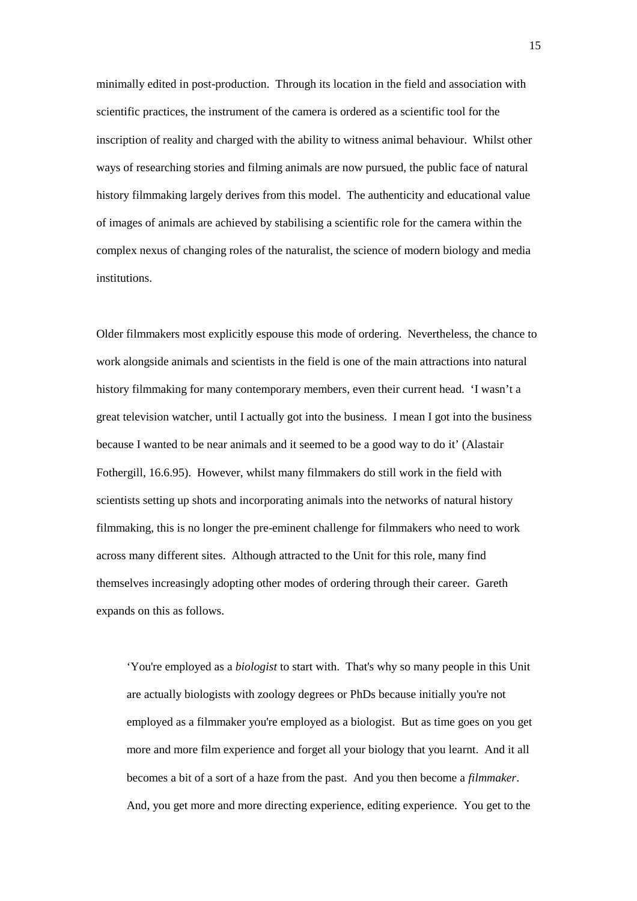minimally edited in post-production. Through its location in the field and association with scientific practices, the instrument of the camera is ordered as a scientific tool for the inscription of reality and charged with the ability to witness animal behaviour. Whilst other ways of researching stories and filming animals are now pursued, the public face of natural history filmmaking largely derives from this model. The authenticity and educational value of images of animals are achieved by stabilising a scientific role for the camera within the complex nexus of changing roles of the naturalist, the science of modern biology and media institutions.

Older filmmakers most explicitly espouse this mode of ordering. Nevertheless, the chance to work alongside animals and scientists in the field is one of the main attractions into natural history filmmaking for many contemporary members, even their current head. 'I wasn't a great television watcher, until I actually got into the business. I mean I got into the business because I wanted to be near animals and it seemed to be a good way to do it' (Alastair Fothergill, 16.6.95). However, whilst many filmmakers do still work in the field with scientists setting up shots and incorporating animals into the networks of natural history filmmaking, this is no longer the pre-eminent challenge for filmmakers who need to work across many different sites. Although attracted to the Unit for this role, many find themselves increasingly adopting other modes of ordering through their career. Gareth expands on this as follows.

'You're employed as a *biologist* to start with. That's why so many people in this Unit are actually biologists with zoology degrees or PhDs because initially you're not employed as a filmmaker you're employed as a biologist. But as time goes on you get more and more film experience and forget all your biology that you learnt. And it all becomes a bit of a sort of a haze from the past. And you then become a *filmmaker*. And, you get more and more directing experience, editing experience. You get to the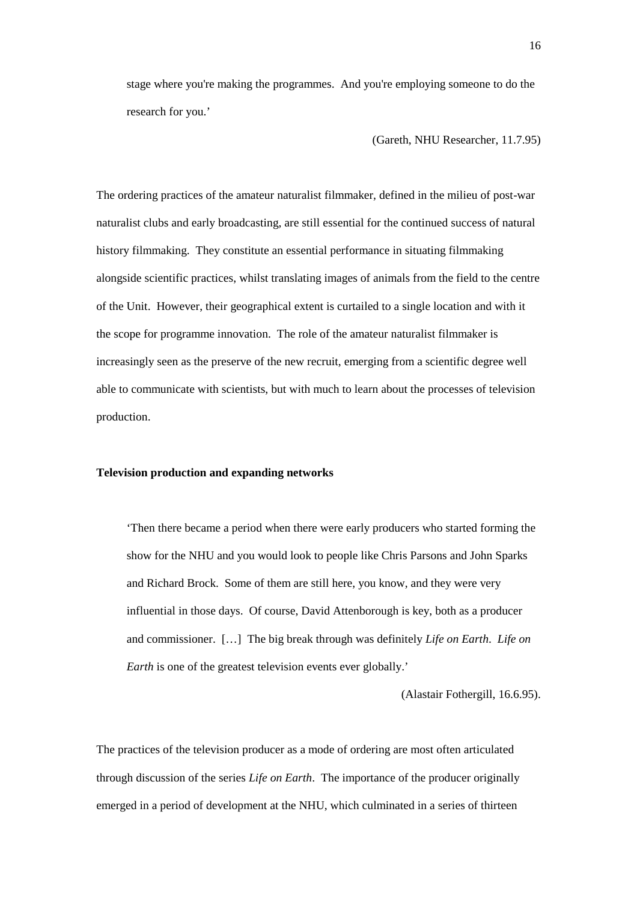stage where you're making the programmes. And you're employing someone to do the research for you.'

(Gareth, NHU Researcher, 11.7.95)

The ordering practices of the amateur naturalist filmmaker, defined in the milieu of post-war naturalist clubs and early broadcasting, are still essential for the continued success of natural history filmmaking. They constitute an essential performance in situating filmmaking alongside scientific practices, whilst translating images of animals from the field to the centre of the Unit. However, their geographical extent is curtailed to a single location and with it the scope for programme innovation. The role of the amateur naturalist filmmaker is increasingly seen as the preserve of the new recruit, emerging from a scientific degree well able to communicate with scientists, but with much to learn about the processes of television production.

## **Television production and expanding networks**

'Then there became a period when there were early producers who started forming the show for the NHU and you would look to people like Chris Parsons and John Sparks and Richard Brock. Some of them are still here, you know, and they were very influential in those days. Of course, David Attenborough is key, both as a producer and commissioner. […] The big break through was definitely *Life on Earth*. *Life on Earth* is one of the greatest television events ever globally.'

(Alastair Fothergill, 16.6.95).

The practices of the television producer as a mode of ordering are most often articulated through discussion of the series *Life on Earth*. The importance of the producer originally emerged in a period of development at the NHU, which culminated in a series of thirteen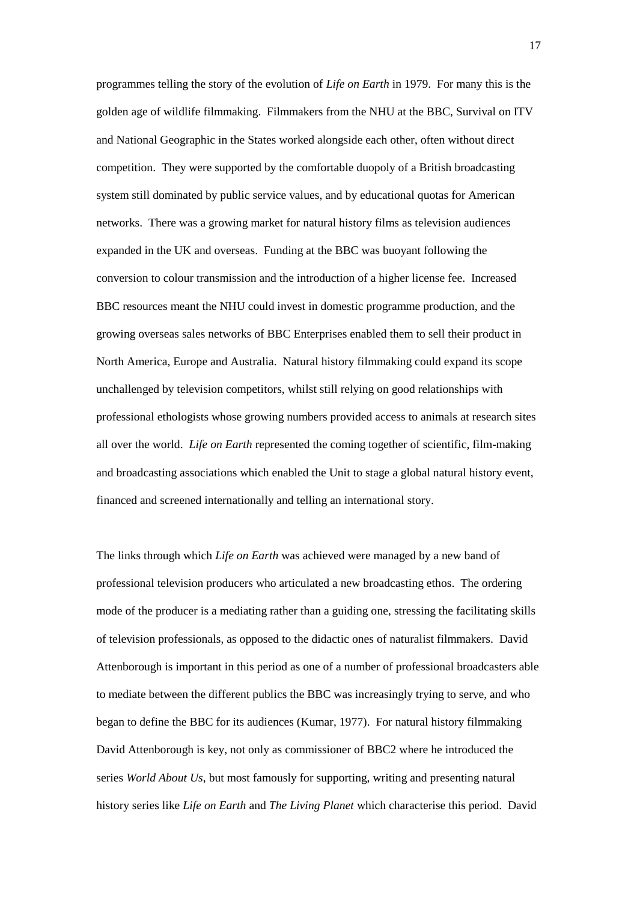programmes telling the story of the evolution of *Life on Earth* in 1979. For many this is the golden age of wildlife filmmaking. Filmmakers from the NHU at the BBC, Survival on ITV and National Geographic in the States worked alongside each other, often without direct competition. They were supported by the comfortable duopoly of a British broadcasting system still dominated by public service values, and by educational quotas for American networks. There was a growing market for natural history films as television audiences expanded in the UK and overseas. Funding at the BBC was buoyant following the conversion to colour transmission and the introduction of a higher license fee. Increased BBC resources meant the NHU could invest in domestic programme production, and the growing overseas sales networks of BBC Enterprises enabled them to sell their product in North America, Europe and Australia. Natural history filmmaking could expand its scope unchallenged by television competitors, whilst still relying on good relationships with professional ethologists whose growing numbers provided access to animals at research sites all over the world. *Life on Earth* represented the coming together of scientific, film-making and broadcasting associations which enabled the Unit to stage a global natural history event, financed and screened internationally and telling an international story.

The links through which *Life on Earth* was achieved were managed by a new band of professional television producers who articulated a new broadcasting ethos. The ordering mode of the producer is a mediating rather than a guiding one, stressing the facilitating skills of television professionals, as opposed to the didactic ones of naturalist filmmakers. David Attenborough is important in this period as one of a number of professional broadcasters able to mediate between the different publics the BBC was increasingly trying to serve, and who began to define the BBC for its audiences (Kumar, 1977). For natural history filmmaking David Attenborough is key, not only as commissioner of BBC2 where he introduced the series *World About Us*, but most famously for supporting, writing and presenting natural history series like *Life on Earth* and *The Living Planet* which characterise this period. David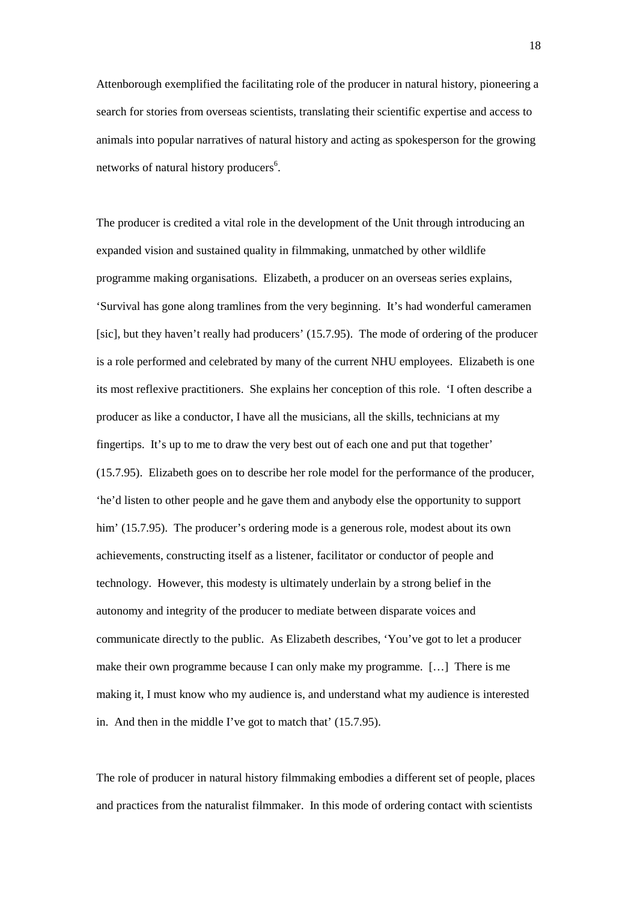Attenborough exemplified the facilitating role of the producer in natural history, pioneering a search for stories from overseas scientists, translating their scientific expertise and access to animals into popular narratives of natural history and acting as spokesperson for the growing networks of natural history producers<sup>6</sup>.

The producer is credited a vital role in the development of the Unit through introducing an expanded vision and sustained quality in filmmaking, unmatched by other wildlife programme making organisations. Elizabeth, a producer on an overseas series explains, 'Survival has gone along tramlines from the very beginning. It's had wonderful cameramen [sic], but they haven't really had producers' (15.7.95). The mode of ordering of the producer is a role performed and celebrated by many of the current NHU employees. Elizabeth is one its most reflexive practitioners. She explains her conception of this role. 'I often describe a producer as like a conductor, I have all the musicians, all the skills, technicians at my fingertips. It's up to me to draw the very best out of each one and put that together' (15.7.95). Elizabeth goes on to describe her role model for the performance of the producer, 'he'd listen to other people and he gave them and anybody else the opportunity to support him' (15.7.95). The producer's ordering mode is a generous role, modest about its own achievements, constructing itself as a listener, facilitator or conductor of people and technology. However, this modesty is ultimately underlain by a strong belief in the autonomy and integrity of the producer to mediate between disparate voices and communicate directly to the public. As Elizabeth describes, 'You've got to let a producer make their own programme because I can only make my programme. […] There is me making it, I must know who my audience is, and understand what my audience is interested in. And then in the middle I've got to match that' (15.7.95).

The role of producer in natural history filmmaking embodies a different set of people, places and practices from the naturalist filmmaker. In this mode of ordering contact with scientists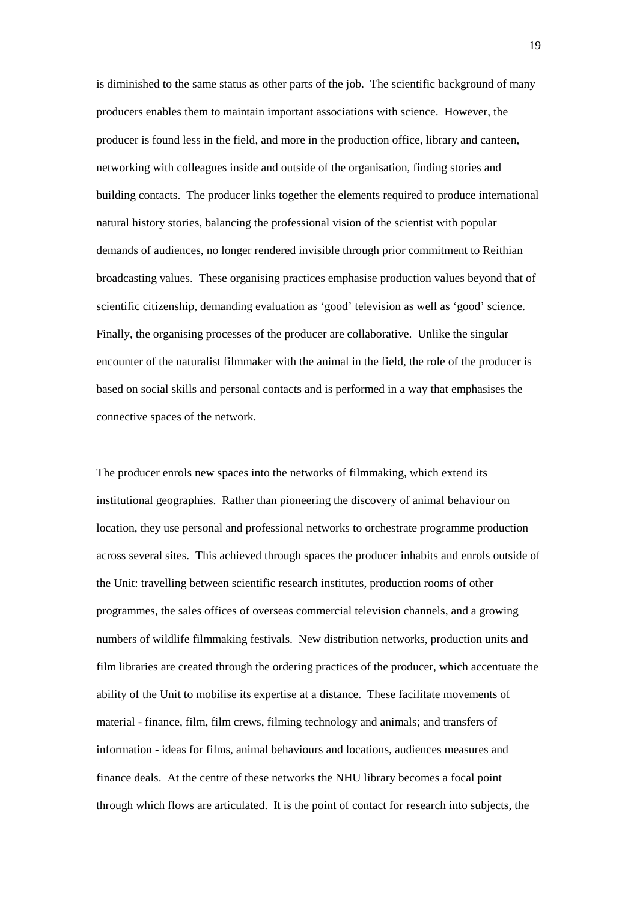is diminished to the same status as other parts of the job. The scientific background of many producers enables them to maintain important associations with science. However, the producer is found less in the field, and more in the production office, library and canteen, networking with colleagues inside and outside of the organisation, finding stories and building contacts. The producer links together the elements required to produce international natural history stories, balancing the professional vision of the scientist with popular demands of audiences, no longer rendered invisible through prior commitment to Reithian broadcasting values. These organising practices emphasise production values beyond that of scientific citizenship, demanding evaluation as 'good' television as well as 'good' science. Finally, the organising processes of the producer are collaborative. Unlike the singular encounter of the naturalist filmmaker with the animal in the field, the role of the producer is based on social skills and personal contacts and is performed in a way that emphasises the connective spaces of the network.

The producer enrols new spaces into the networks of filmmaking, which extend its institutional geographies. Rather than pioneering the discovery of animal behaviour on location, they use personal and professional networks to orchestrate programme production across several sites. This achieved through spaces the producer inhabits and enrols outside of the Unit: travelling between scientific research institutes, production rooms of other programmes, the sales offices of overseas commercial television channels, and a growing numbers of wildlife filmmaking festivals. New distribution networks, production units and film libraries are created through the ordering practices of the producer, which accentuate the ability of the Unit to mobilise its expertise at a distance. These facilitate movements of material - finance, film, film crews, filming technology and animals; and transfers of information - ideas for films, animal behaviours and locations, audiences measures and finance deals. At the centre of these networks the NHU library becomes a focal point through which flows are articulated. It is the point of contact for research into subjects, the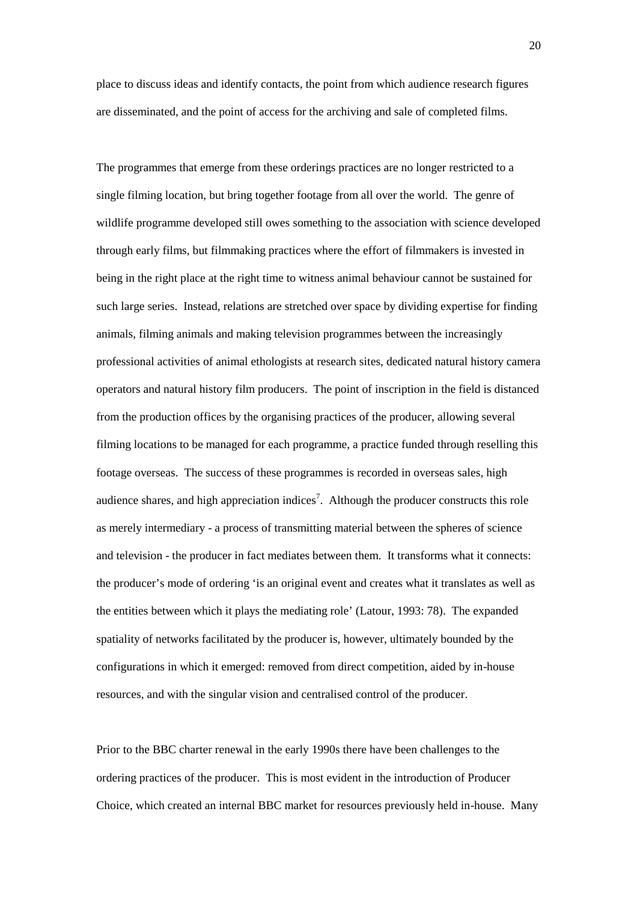place to discuss ideas and identify contacts, the point from which audience research figures are disseminated, and the point of access for the archiving and sale of completed films.

The programmes that emerge from these orderings practices are no longer restricted to a single filming location, but bring together footage from all over the world. The genre of wildlife programme developed still owes something to the association with science developed through early films, but filmmaking practices where the effort of filmmakers is invested in being in the right place at the right time to witness animal behaviour cannot be sustained for such large series. Instead, relations are stretched over space by dividing expertise for finding animals, filming animals and making television programmes between the increasingly professional activities of animal ethologists at research sites, dedicated natural history camera operators and natural history film producers. The point of inscription in the field is distanced from the production offices by the organising practices of the producer, allowing several filming locations to be managed for each programme, a practice funded through reselling this footage overseas. The success of these programmes is recorded in overseas sales, high audience shares, and high appreciation indices<sup>7</sup>. Although the producer constructs this role as merely intermediary - a process of transmitting material between the spheres of science and television - the producer in fact mediates between them. It transforms what it connects: the producer's mode of ordering 'is an original event and creates what it translates as well as the entities between which it plays the mediating role' (Latour, 1993: 78). The expanded spatiality of networks facilitated by the producer is, however, ultimately bounded by the configurations in which it emerged: removed from direct competition, aided by in-house resources, and with the singular vision and centralised control of the producer.

Prior to the BBC charter renewal in the early 1990s there have been challenges to the ordering practices of the producer. This is most evident in the introduction of Producer Choice, which created an internal BBC market for resources previously held in-house. Many

20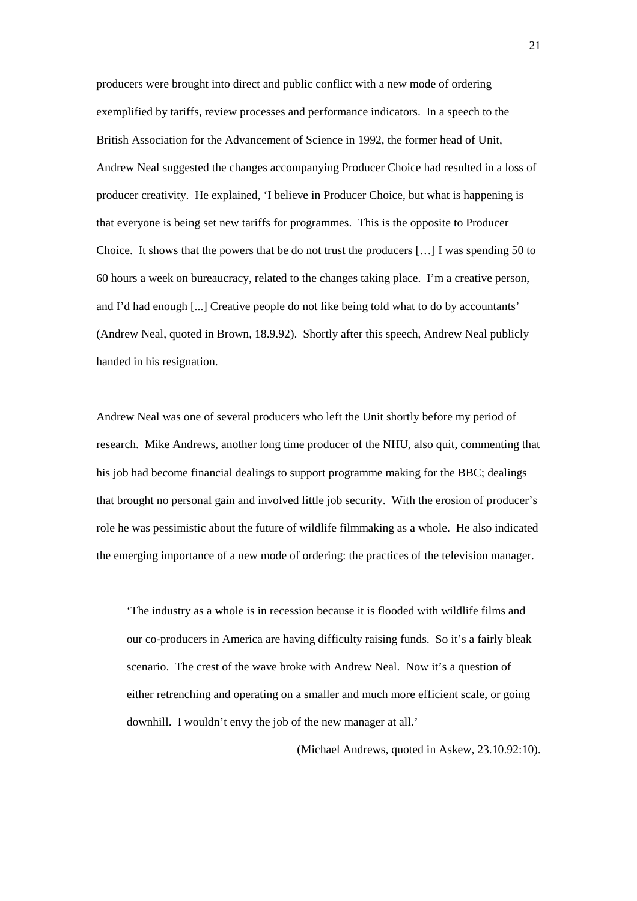producers were brought into direct and public conflict with a new mode of ordering exemplified by tariffs, review processes and performance indicators. In a speech to the British Association for the Advancement of Science in 1992, the former head of Unit, Andrew Neal suggested the changes accompanying Producer Choice had resulted in a loss of producer creativity. He explained, 'I believe in Producer Choice, but what is happening is that everyone is being set new tariffs for programmes. This is the opposite to Producer Choice. It shows that the powers that be do not trust the producers  $[\dots]$  I was spending 50 to 60 hours a week on bureaucracy, related to the changes taking place. I'm a creative person, and I'd had enough [...] Creative people do not like being told what to do by accountants' (Andrew Neal, quoted in Brown, 18.9.92). Shortly after this speech, Andrew Neal publicly handed in his resignation.

Andrew Neal was one of several producers who left the Unit shortly before my period of research. Mike Andrews, another long time producer of the NHU, also quit, commenting that his job had become financial dealings to support programme making for the BBC; dealings that brought no personal gain and involved little job security. With the erosion of producer's role he was pessimistic about the future of wildlife filmmaking as a whole. He also indicated the emerging importance of a new mode of ordering: the practices of the television manager.

'The industry as a whole is in recession because it is flooded with wildlife films and our co-producers in America are having difficulty raising funds. So it's a fairly bleak scenario. The crest of the wave broke with Andrew Neal. Now it's a question of either retrenching and operating on a smaller and much more efficient scale, or going downhill. I wouldn't envy the job of the new manager at all.'

(Michael Andrews, quoted in Askew, 23.10.92:10).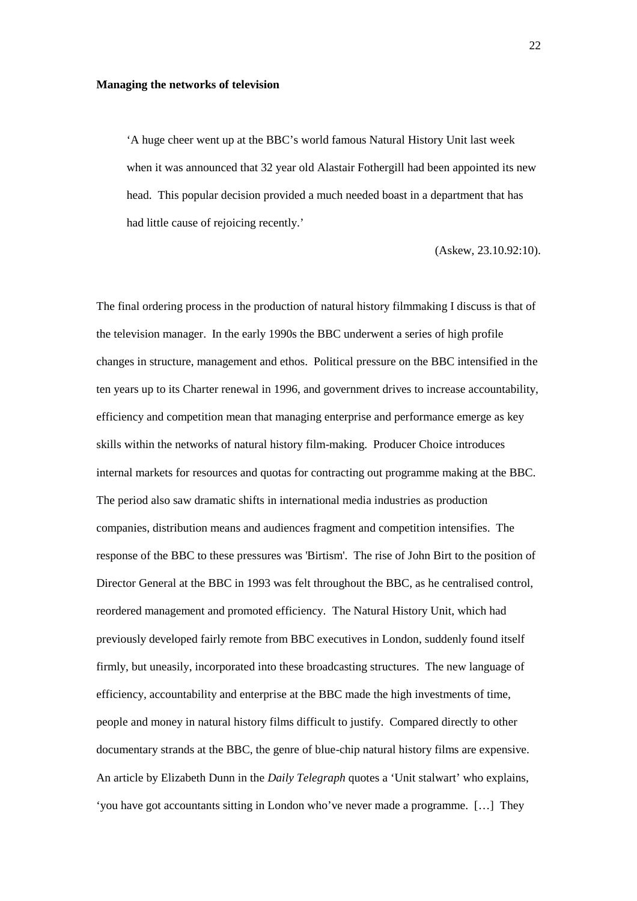#### **Managing the networks of television**

'A huge cheer went up at the BBC's world famous Natural History Unit last week when it was announced that 32 year old Alastair Fothergill had been appointed its new head. This popular decision provided a much needed boast in a department that has had little cause of rejoicing recently.'

(Askew, 23.10.92:10).

The final ordering process in the production of natural history filmmaking I discuss is that of the television manager. In the early 1990s the BBC underwent a series of high profile changes in structure, management and ethos. Political pressure on the BBC intensified in the ten years up to its Charter renewal in 1996, and government drives to increase accountability, efficiency and competition mean that managing enterprise and performance emerge as key skills within the networks of natural history film-making. Producer Choice introduces internal markets for resources and quotas for contracting out programme making at the BBC. The period also saw dramatic shifts in international media industries as production companies, distribution means and audiences fragment and competition intensifies. The response of the BBC to these pressures was 'Birtism'. The rise of John Birt to the position of Director General at the BBC in 1993 was felt throughout the BBC, as he centralised control, reordered management and promoted efficiency. The Natural History Unit, which had previously developed fairly remote from BBC executives in London, suddenly found itself firmly, but uneasily, incorporated into these broadcasting structures. The new language of efficiency, accountability and enterprise at the BBC made the high investments of time, people and money in natural history films difficult to justify. Compared directly to other documentary strands at the BBC, the genre of blue-chip natural history films are expensive. An article by Elizabeth Dunn in the *Daily Telegraph* quotes a 'Unit stalwart' who explains, 'you have got accountants sitting in London who've never made a programme. […] They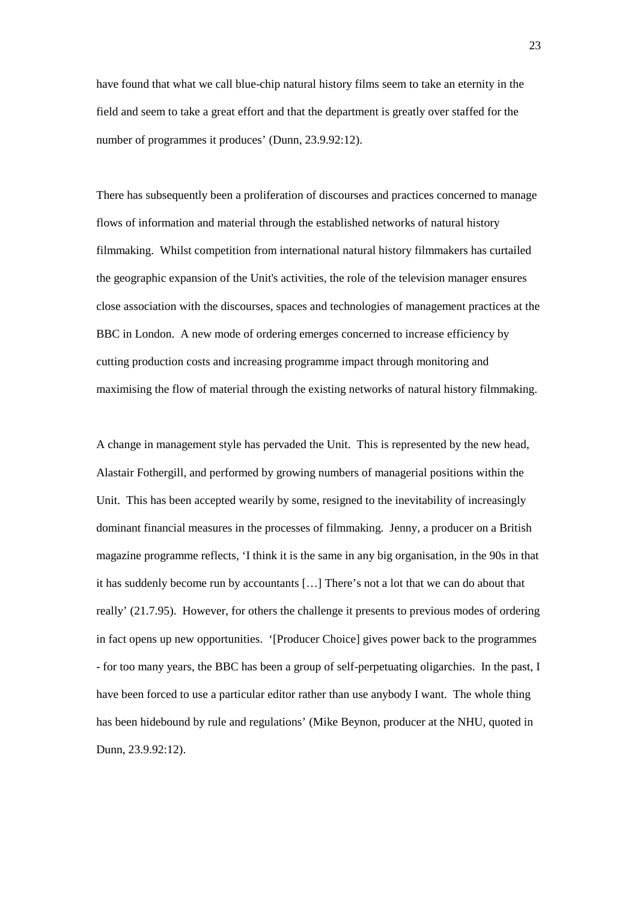have found that what we call blue-chip natural history films seem to take an eternity in the field and seem to take a great effort and that the department is greatly over staffed for the number of programmes it produces' (Dunn, 23.9.92:12).

There has subsequently been a proliferation of discourses and practices concerned to manage flows of information and material through the established networks of natural history filmmaking. Whilst competition from international natural history filmmakers has curtailed the geographic expansion of the Unit's activities, the role of the television manager ensures close association with the discourses, spaces and technologies of management practices at the BBC in London. A new mode of ordering emerges concerned to increase efficiency by cutting production costs and increasing programme impact through monitoring and maximising the flow of material through the existing networks of natural history filmmaking.

A change in management style has pervaded the Unit. This is represented by the new head, Alastair Fothergill, and performed by growing numbers of managerial positions within the Unit. This has been accepted wearily by some, resigned to the inevitability of increasingly dominant financial measures in the processes of filmmaking. Jenny, a producer on a British magazine programme reflects, 'I think it is the same in any big organisation, in the 90s in that it has suddenly become run by accountants […] There's not a lot that we can do about that really' (21.7.95). However, for others the challenge it presents to previous modes of ordering in fact opens up new opportunities. '[Producer Choice] gives power back to the programmes - for too many years, the BBC has been a group of self-perpetuating oligarchies. In the past, I have been forced to use a particular editor rather than use anybody I want. The whole thing has been hidebound by rule and regulations' (Mike Beynon, producer at the NHU, quoted in Dunn, 23.9.92:12).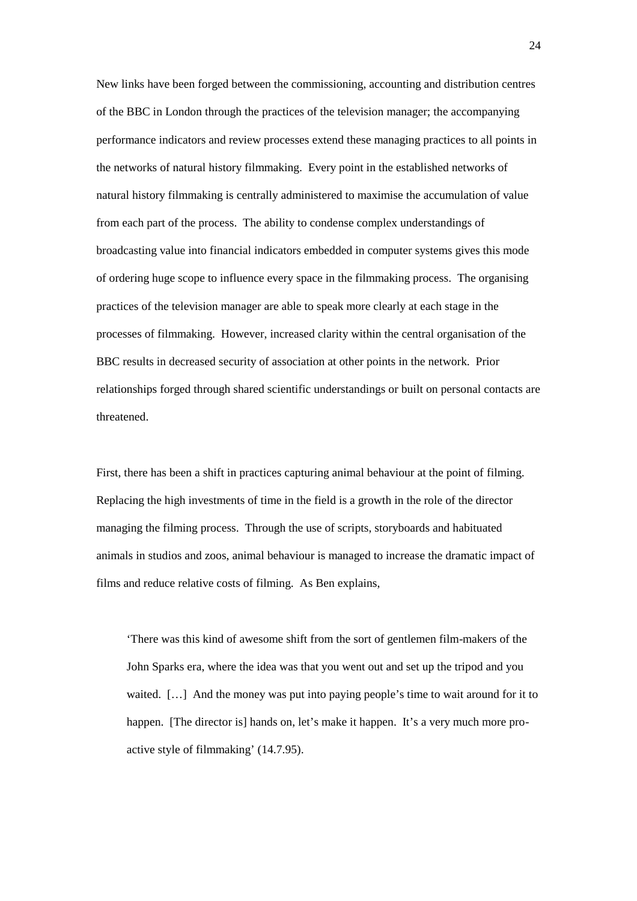New links have been forged between the commissioning, accounting and distribution centres of the BBC in London through the practices of the television manager; the accompanying performance indicators and review processes extend these managing practices to all points in the networks of natural history filmmaking. Every point in the established networks of natural history filmmaking is centrally administered to maximise the accumulation of value from each part of the process. The ability to condense complex understandings of broadcasting value into financial indicators embedded in computer systems gives this mode of ordering huge scope to influence every space in the filmmaking process. The organising practices of the television manager are able to speak more clearly at each stage in the processes of filmmaking. However, increased clarity within the central organisation of the BBC results in decreased security of association at other points in the network. Prior relationships forged through shared scientific understandings or built on personal contacts are threatened.

First, there has been a shift in practices capturing animal behaviour at the point of filming. Replacing the high investments of time in the field is a growth in the role of the director managing the filming process. Through the use of scripts, storyboards and habituated animals in studios and zoos, animal behaviour is managed to increase the dramatic impact of films and reduce relative costs of filming. As Ben explains,

'There was this kind of awesome shift from the sort of gentlemen film-makers of the John Sparks era, where the idea was that you went out and set up the tripod and you waited. […] And the money was put into paying people's time to wait around for it to happen. [The director is] hands on, let's make it happen. It's a very much more proactive style of filmmaking' (14.7.95).

24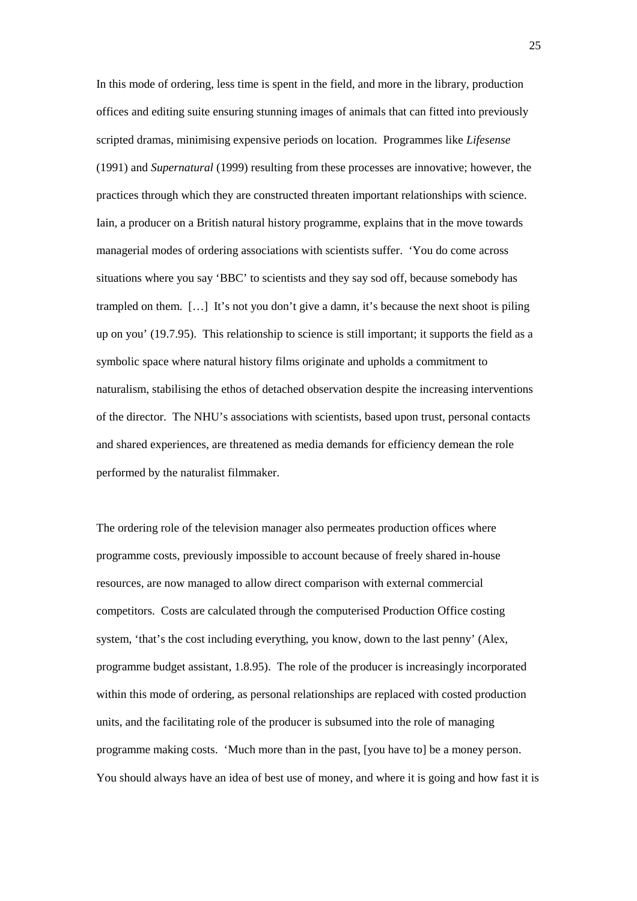In this mode of ordering, less time is spent in the field, and more in the library, production offices and editing suite ensuring stunning images of animals that can fitted into previously scripted dramas, minimising expensive periods on location. Programmes like *Lifesense* (1991) and *Supernatural* (1999) resulting from these processes are innovative; however, the practices through which they are constructed threaten important relationships with science. Iain, a producer on a British natural history programme, explains that in the move towards managerial modes of ordering associations with scientists suffer. 'You do come across situations where you say 'BBC' to scientists and they say sod off, because somebody has trampled on them. […] It's not you don't give a damn, it's because the next shoot is piling up on you' (19.7.95). This relationship to science is still important; it supports the field as a symbolic space where natural history films originate and upholds a commitment to naturalism, stabilising the ethos of detached observation despite the increasing interventions of the director. The NHU's associations with scientists, based upon trust, personal contacts and shared experiences, are threatened as media demands for efficiency demean the role performed by the naturalist filmmaker.

The ordering role of the television manager also permeates production offices where programme costs, previously impossible to account because of freely shared in-house resources, are now managed to allow direct comparison with external commercial competitors. Costs are calculated through the computerised Production Office costing system, 'that's the cost including everything, you know, down to the last penny' (Alex, programme budget assistant, 1.8.95). The role of the producer is increasingly incorporated within this mode of ordering, as personal relationships are replaced with costed production units, and the facilitating role of the producer is subsumed into the role of managing programme making costs. 'Much more than in the past, [you have to] be a money person. You should always have an idea of best use of money, and where it is going and how fast it is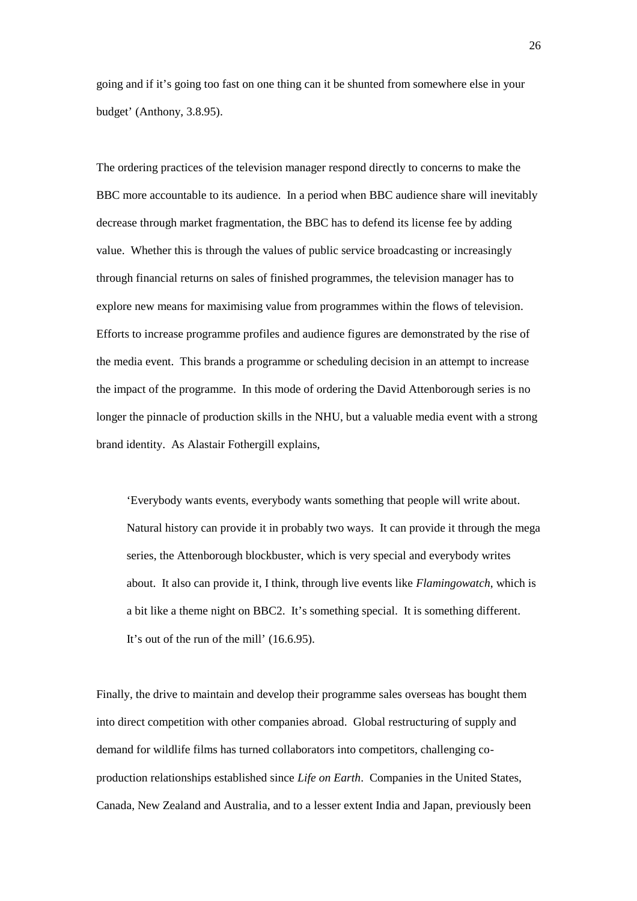going and if it's going too fast on one thing can it be shunted from somewhere else in your budget' (Anthony, 3.8.95).

The ordering practices of the television manager respond directly to concerns to make the BBC more accountable to its audience. In a period when BBC audience share will inevitably decrease through market fragmentation, the BBC has to defend its license fee by adding value. Whether this is through the values of public service broadcasting or increasingly through financial returns on sales of finished programmes, the television manager has to explore new means for maximising value from programmes within the flows of television. Efforts to increase programme profiles and audience figures are demonstrated by the rise of the media event. This brands a programme or scheduling decision in an attempt to increase the impact of the programme. In this mode of ordering the David Attenborough series is no longer the pinnacle of production skills in the NHU, but a valuable media event with a strong brand identity. As Alastair Fothergill explains,

'Everybody wants events, everybody wants something that people will write about. Natural history can provide it in probably two ways. It can provide it through the mega series, the Attenborough blockbuster, which is very special and everybody writes about. It also can provide it, I think, through live events like *Flamingowatch*, which is a bit like a theme night on BBC2. It's something special. It is something different. It's out of the run of the mill' (16.6.95).

Finally, the drive to maintain and develop their programme sales overseas has bought them into direct competition with other companies abroad. Global restructuring of supply and demand for wildlife films has turned collaborators into competitors, challenging coproduction relationships established since *Life on Earth*. Companies in the United States, Canada, New Zealand and Australia, and to a lesser extent India and Japan, previously been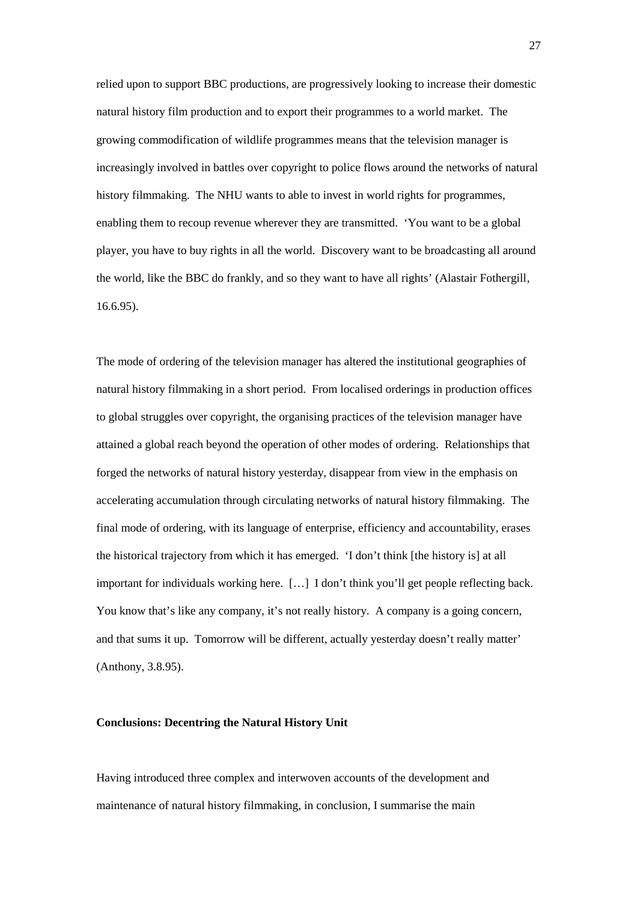relied upon to support BBC productions, are progressively looking to increase their domestic natural history film production and to export their programmes to a world market. The growing commodification of wildlife programmes means that the television manager is increasingly involved in battles over copyright to police flows around the networks of natural history filmmaking. The NHU wants to able to invest in world rights for programmes, enabling them to recoup revenue wherever they are transmitted. 'You want to be a global player, you have to buy rights in all the world. Discovery want to be broadcasting all around the world, like the BBC do frankly, and so they want to have all rights' (Alastair Fothergill, 16.6.95).

The mode of ordering of the television manager has altered the institutional geographies of natural history filmmaking in a short period. From localised orderings in production offices to global struggles over copyright, the organising practices of the television manager have attained a global reach beyond the operation of other modes of ordering. Relationships that forged the networks of natural history yesterday, disappear from view in the emphasis on accelerating accumulation through circulating networks of natural history filmmaking. The final mode of ordering, with its language of enterprise, efficiency and accountability, erases the historical trajectory from which it has emerged. 'I don't think [the history is] at all important for individuals working here. […] I don't think you'll get people reflecting back. You know that's like any company, it's not really history. A company is a going concern, and that sums it up. Tomorrow will be different, actually yesterday doesn't really matter' (Anthony, 3.8.95).

## **Conclusions: Decentring the Natural History Unit**

Having introduced three complex and interwoven accounts of the development and maintenance of natural history filmmaking, in conclusion, I summarise the main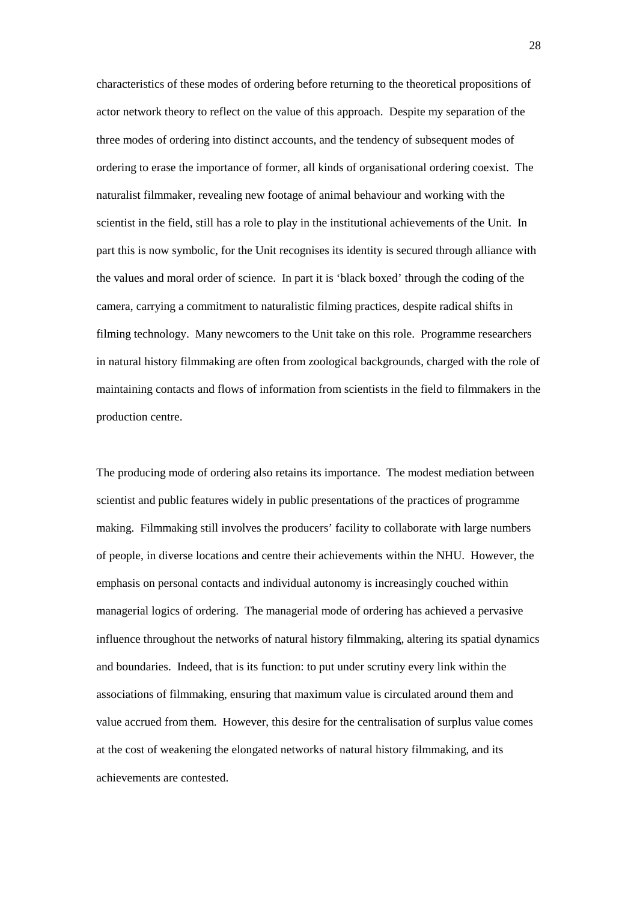characteristics of these modes of ordering before returning to the theoretical propositions of actor network theory to reflect on the value of this approach. Despite my separation of the three modes of ordering into distinct accounts, and the tendency of subsequent modes of ordering to erase the importance of former, all kinds of organisational ordering coexist. The naturalist filmmaker, revealing new footage of animal behaviour and working with the scientist in the field, still has a role to play in the institutional achievements of the Unit. In part this is now symbolic, for the Unit recognises its identity is secured through alliance with the values and moral order of science. In part it is 'black boxed' through the coding of the camera, carrying a commitment to naturalistic filming practices, despite radical shifts in filming technology. Many newcomers to the Unit take on this role. Programme researchers in natural history filmmaking are often from zoological backgrounds, charged with the role of maintaining contacts and flows of information from scientists in the field to filmmakers in the production centre.

The producing mode of ordering also retains its importance. The modest mediation between scientist and public features widely in public presentations of the practices of programme making. Filmmaking still involves the producers' facility to collaborate with large numbers of people, in diverse locations and centre their achievements within the NHU. However, the emphasis on personal contacts and individual autonomy is increasingly couched within managerial logics of ordering. The managerial mode of ordering has achieved a pervasive influence throughout the networks of natural history filmmaking, altering its spatial dynamics and boundaries. Indeed, that is its function: to put under scrutiny every link within the associations of filmmaking, ensuring that maximum value is circulated around them and value accrued from them. However, this desire for the centralisation of surplus value comes at the cost of weakening the elongated networks of natural history filmmaking, and its achievements are contested.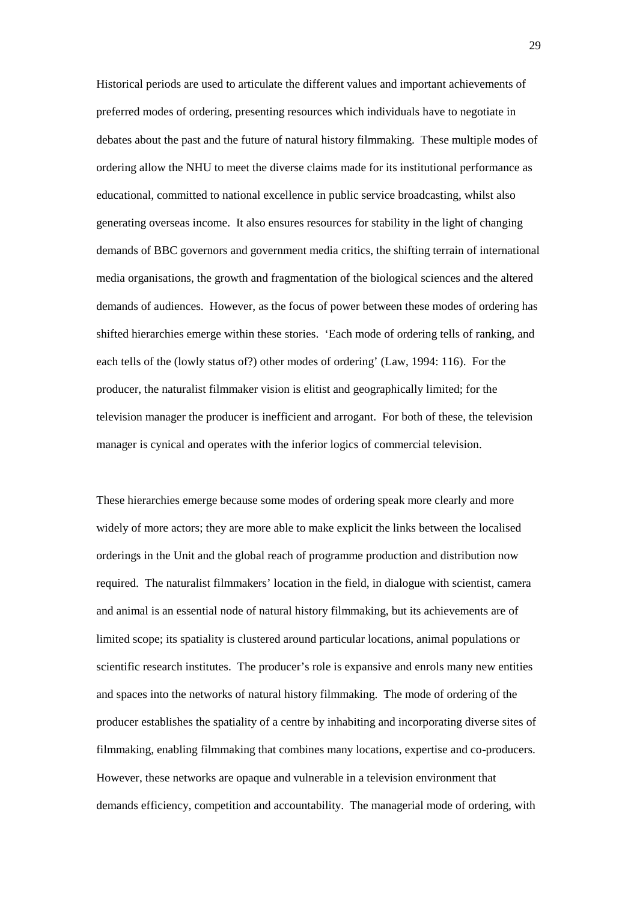Historical periods are used to articulate the different values and important achievements of preferred modes of ordering, presenting resources which individuals have to negotiate in debates about the past and the future of natural history filmmaking. These multiple modes of ordering allow the NHU to meet the diverse claims made for its institutional performance as educational, committed to national excellence in public service broadcasting, whilst also generating overseas income. It also ensures resources for stability in the light of changing demands of BBC governors and government media critics, the shifting terrain of international media organisations, the growth and fragmentation of the biological sciences and the altered demands of audiences. However, as the focus of power between these modes of ordering has shifted hierarchies emerge within these stories. 'Each mode of ordering tells of ranking, and each tells of the (lowly status of?) other modes of ordering' (Law, 1994: 116). For the producer, the naturalist filmmaker vision is elitist and geographically limited; for the television manager the producer is inefficient and arrogant. For both of these, the television manager is cynical and operates with the inferior logics of commercial television.

These hierarchies emerge because some modes of ordering speak more clearly and more widely of more actors; they are more able to make explicit the links between the localised orderings in the Unit and the global reach of programme production and distribution now required. The naturalist filmmakers' location in the field, in dialogue with scientist, camera and animal is an essential node of natural history filmmaking, but its achievements are of limited scope; its spatiality is clustered around particular locations, animal populations or scientific research institutes. The producer's role is expansive and enrols many new entities and spaces into the networks of natural history filmmaking. The mode of ordering of the producer establishes the spatiality of a centre by inhabiting and incorporating diverse sites of filmmaking, enabling filmmaking that combines many locations, expertise and co-producers. However, these networks are opaque and vulnerable in a television environment that demands efficiency, competition and accountability. The managerial mode of ordering, with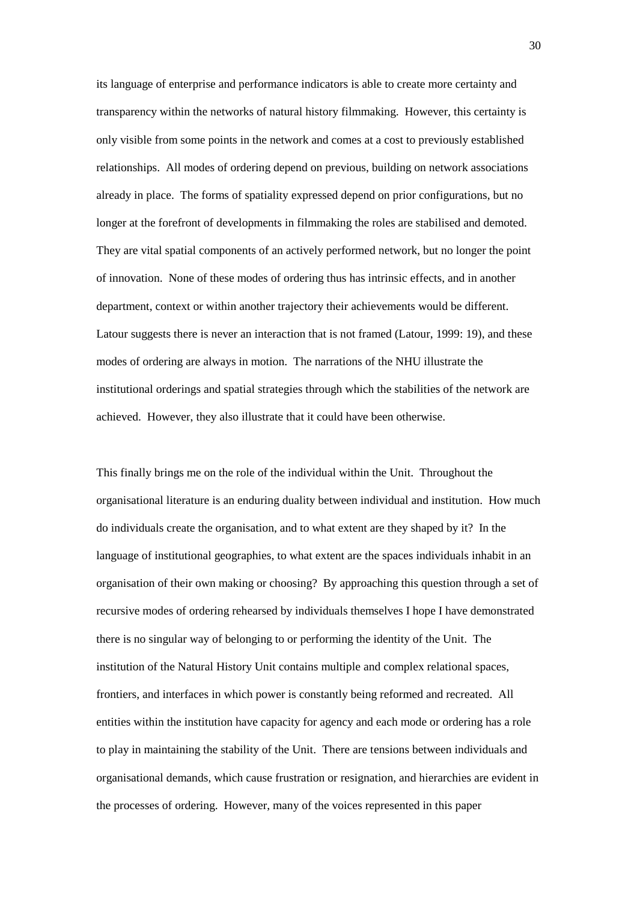its language of enterprise and performance indicators is able to create more certainty and transparency within the networks of natural history filmmaking. However, this certainty is only visible from some points in the network and comes at a cost to previously established relationships. All modes of ordering depend on previous, building on network associations already in place. The forms of spatiality expressed depend on prior configurations, but no longer at the forefront of developments in filmmaking the roles are stabilised and demoted. They are vital spatial components of an actively performed network, but no longer the point of innovation. None of these modes of ordering thus has intrinsic effects, and in another department, context or within another trajectory their achievements would be different. Latour suggests there is never an interaction that is not framed (Latour, 1999: 19), and these modes of ordering are always in motion. The narrations of the NHU illustrate the institutional orderings and spatial strategies through which the stabilities of the network are achieved. However, they also illustrate that it could have been otherwise.

This finally brings me on the role of the individual within the Unit. Throughout the organisational literature is an enduring duality between individual and institution. How much do individuals create the organisation, and to what extent are they shaped by it? In the language of institutional geographies, to what extent are the spaces individuals inhabit in an organisation of their own making or choosing? By approaching this question through a set of recursive modes of ordering rehearsed by individuals themselves I hope I have demonstrated there is no singular way of belonging to or performing the identity of the Unit. The institution of the Natural History Unit contains multiple and complex relational spaces, frontiers, and interfaces in which power is constantly being reformed and recreated. All entities within the institution have capacity for agency and each mode or ordering has a role to play in maintaining the stability of the Unit. There are tensions between individuals and organisational demands, which cause frustration or resignation, and hierarchies are evident in the processes of ordering. However, many of the voices represented in this paper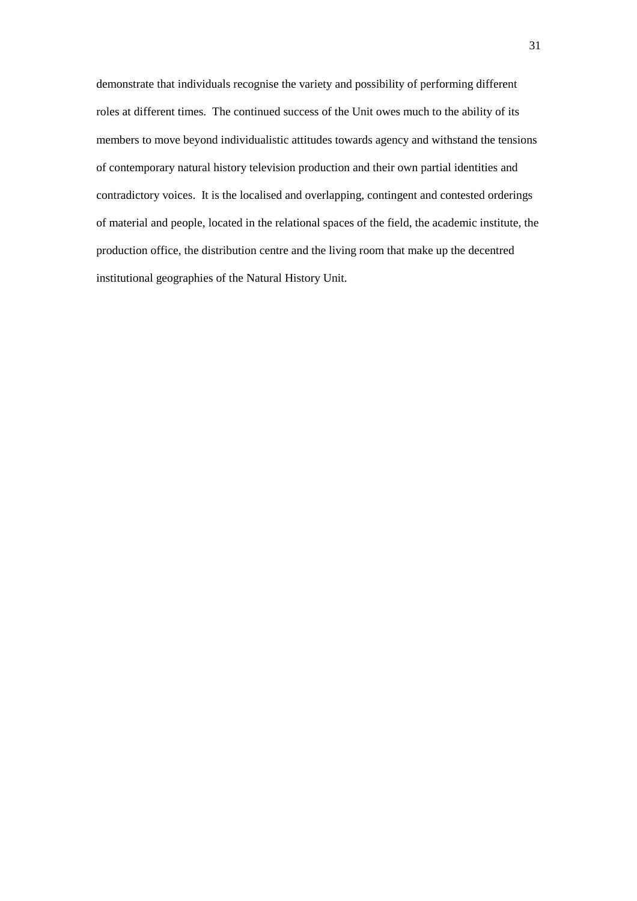demonstrate that individuals recognise the variety and possibility of performing different roles at different times. The continued success of the Unit owes much to the ability of its members to move beyond individualistic attitudes towards agency and withstand the tensions of contemporary natural history television production and their own partial identities and contradictory voices. It is the localised and overlapping, contingent and contested orderings of material and people, located in the relational spaces of the field, the academic institute, the production office, the distribution centre and the living room that make up the decentred institutional geographies of the Natural History Unit.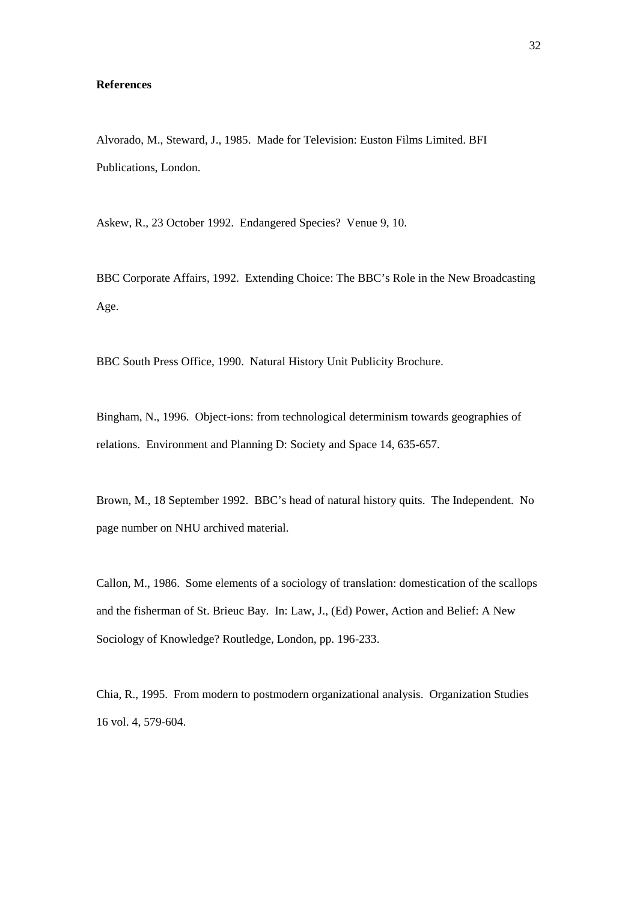### **References**

Alvorado, M., Steward, J., 1985. Made for Television: Euston Films Limited. BFI Publications, London.

Askew, R., 23 October 1992. Endangered Species? Venue 9, 10.

BBC Corporate Affairs, 1992. Extending Choice: The BBC's Role in the New Broadcasting Age.

BBC South Press Office, 1990. Natural History Unit Publicity Brochure.

Bingham, N., 1996. Object-ions: from technological determinism towards geographies of relations. Environment and Planning D: Society and Space 14, 635-657.

Brown, M., 18 September 1992. BBC's head of natural history quits. The Independent. No page number on NHU archived material.

Callon, M., 1986. Some elements of a sociology of translation: domestication of the scallops and the fisherman of St. Brieuc Bay. In: Law, J., (Ed) Power, Action and Belief: A New Sociology of Knowledge? Routledge, London, pp. 196-233.

Chia, R., 1995. From modern to postmodern organizational analysis. Organization Studies 16 vol. 4, 579-604.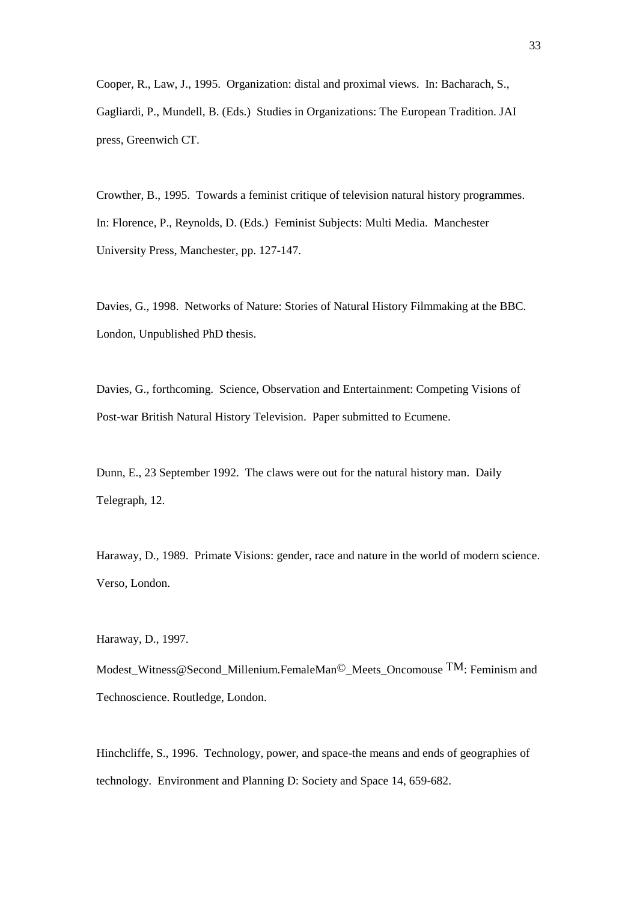Cooper, R., Law, J., 1995. Organization: distal and proximal views. In: Bacharach, S., Gagliardi, P., Mundell, B. (Eds.) Studies in Organizations: The European Tradition. JAI press, Greenwich CT.

Crowther, B., 1995. Towards a feminist critique of television natural history programmes. In: Florence, P., Reynolds, D. (Eds.) Feminist Subjects: Multi Media. Manchester University Press, Manchester, pp. 127-147.

Davies, G., 1998. Networks of Nature: Stories of Natural History Filmmaking at the BBC. London, Unpublished PhD thesis.

Davies, G., forthcoming. Science, Observation and Entertainment: Competing Visions of Post-war British Natural History Television. Paper submitted to Ecumene.

Dunn, E., 23 September 1992. The claws were out for the natural history man. Daily Telegraph, 12.

Haraway, D., 1989. Primate Visions: gender, race and nature in the world of modern science. Verso, London.

Haraway, D., 1997.

Modest\_Witness@Second\_Millenium.FemaleMan©\_Meets\_Oncomouse TM: Feminism and Technoscience. Routledge, London.

Hinchcliffe, S., 1996. Technology, power, and space-the means and ends of geographies of technology. Environment and Planning D: Society and Space 14, 659-682.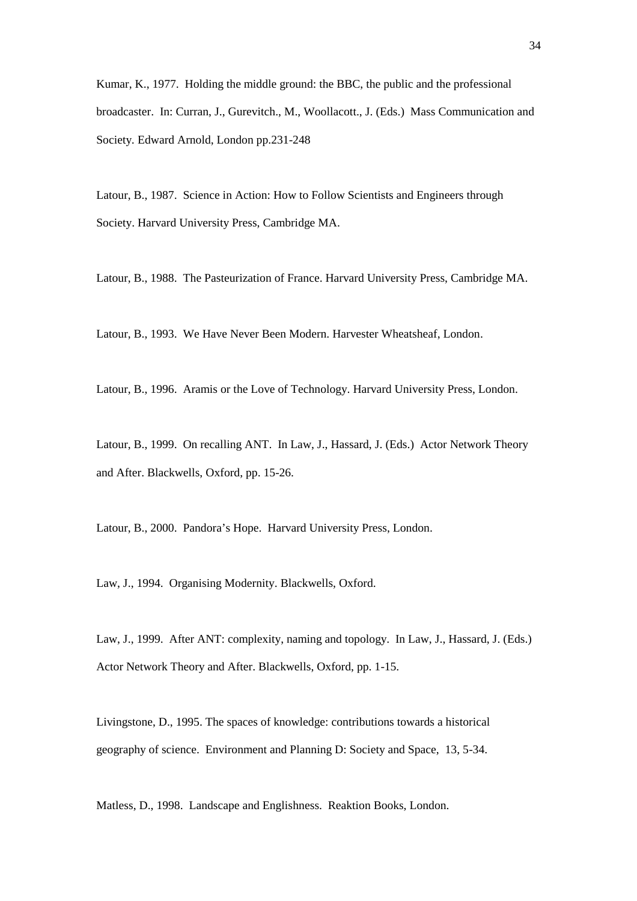Kumar, K., 1977. Holding the middle ground: the BBC, the public and the professional broadcaster. In: Curran, J., Gurevitch., M., Woollacott., J. (Eds.) Mass Communication and Society*.* Edward Arnold, London pp.231-248

Latour, B., 1987. Science in Action: How to Follow Scientists and Engineers through Society. Harvard University Press, Cambridge MA.

Latour, B., 1988. The Pasteurization of France. Harvard University Press, Cambridge MA.

Latour, B., 1993. We Have Never Been Modern. Harvester Wheatsheaf, London.

Latour, B., 1996. Aramis or the Love of Technology. Harvard University Press, London.

Latour, B., 1999. On recalling ANT. In Law, J., Hassard, J. (Eds.) Actor Network Theory and After. Blackwells, Oxford, pp. 15-26.

Latour, B., 2000. Pandora's Hope. Harvard University Press, London.

Law, J., 1994. Organising Modernity. Blackwells, Oxford.

Law, J., 1999. After ANT: complexity, naming and topology. In Law, J., Hassard, J. (Eds.) Actor Network Theory and After. Blackwells, Oxford, pp. 1-15.

Livingstone, D., 1995. The spaces of knowledge: contributions towards a historical geography of science. Environment and Planning D: Society and Space, 13, 5-34.

Matless, D., 1998. Landscape and Englishness. Reaktion Books, London.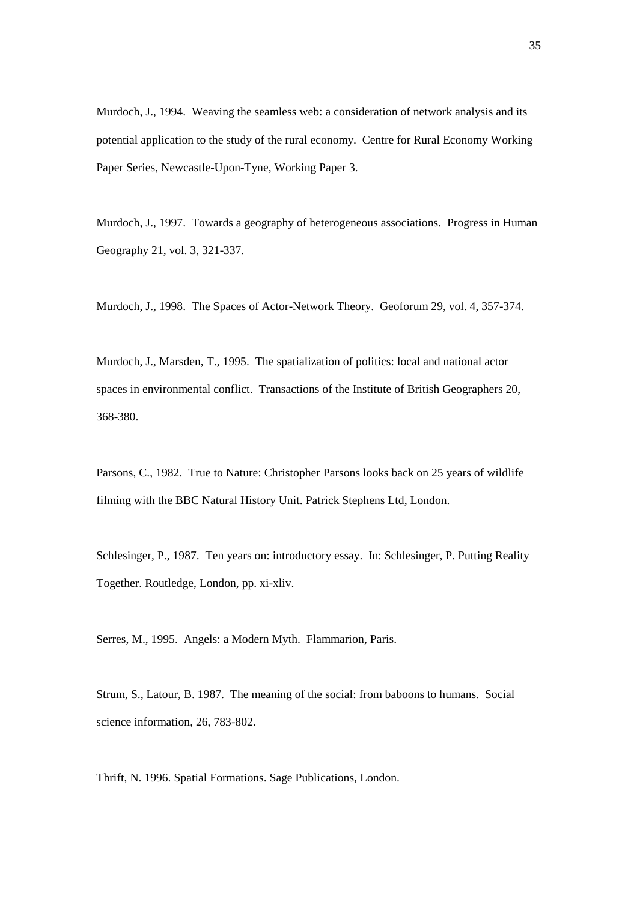Murdoch, J., 1994. Weaving the seamless web: a consideration of network analysis and its potential application to the study of the rural economy. Centre for Rural Economy Working Paper Series, Newcastle-Upon-Tyne, Working Paper 3.

Murdoch, J., 1997. Towards a geography of heterogeneous associations. Progress in Human Geography 21, vol. 3, 321-337.

Murdoch, J., 1998. The Spaces of Actor-Network Theory. Geoforum 29, vol. 4, 357-374.

Murdoch, J., Marsden, T., 1995. The spatialization of politics: local and national actor spaces in environmental conflict. Transactions of the Institute of British Geographers 20, 368-380.

Parsons, C., 1982. True to Nature: Christopher Parsons looks back on 25 years of wildlife filming with the BBC Natural History Unit. Patrick Stephens Ltd, London.

Schlesinger, P., 1987. Ten years on: introductory essay. In: Schlesinger, P. Putting Reality Together. Routledge, London, pp. xi-xliv.

Serres, M., 1995. Angels: a Modern Myth. Flammarion, Paris.

Strum, S., Latour, B. 1987. The meaning of the social: from baboons to humans. Social science information, 26, 783-802.

Thrift, N. 1996. Spatial Formations. Sage Publications, London.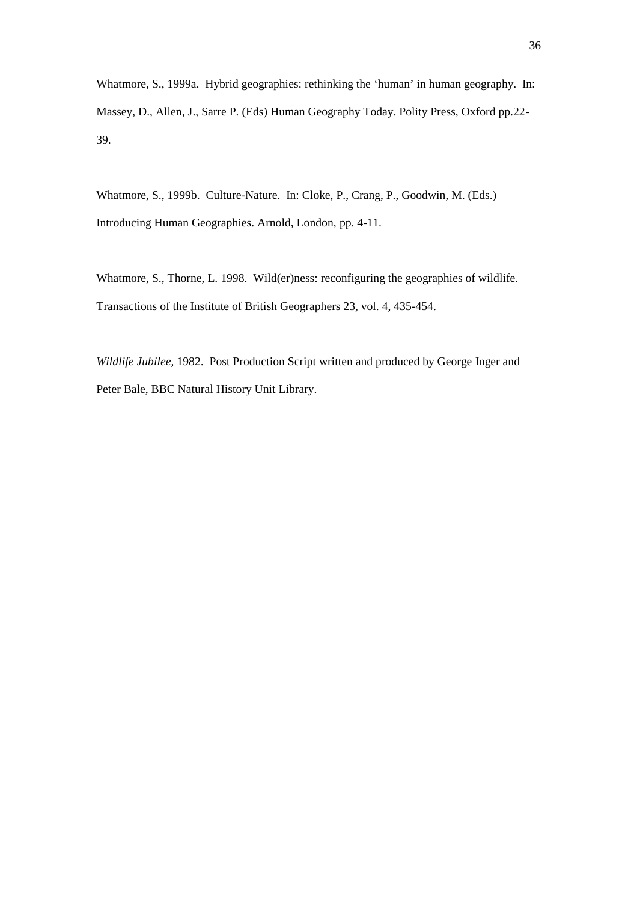Whatmore, S., 1999a. Hybrid geographies: rethinking the 'human' in human geography. In: Massey, D., Allen, J., Sarre P. (Eds) Human Geography Today. Polity Press, Oxford pp.22- 39.

Whatmore, S., 1999b. Culture-Nature. In: Cloke, P., Crang, P., Goodwin, M. (Eds.) Introducing Human Geographies. Arnold, London, pp. 4-11.

Whatmore, S., Thorne, L. 1998. Wild(er)ness: reconfiguring the geographies of wildlife. Transactions of the Institute of British Geographers 23, vol. 4, 435-454.

*Wildlife Jubilee,* 1982. Post Production Script written and produced by George Inger and Peter Bale, BBC Natural History Unit Library.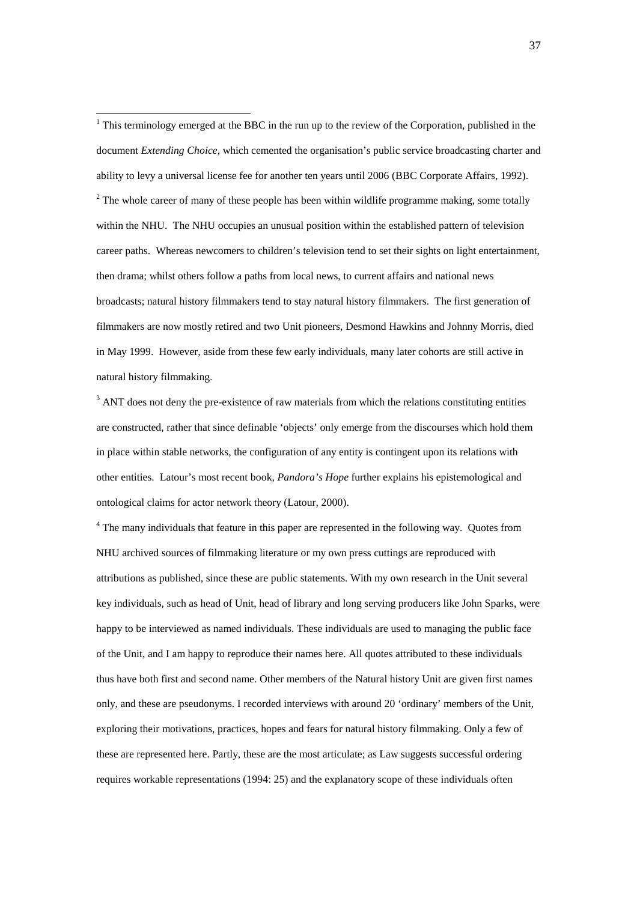$1$  This terminology emerged at the BBC in the run up to the review of the Corporation, published in the document *Extending Choice*, which cemented the organisation's public service broadcasting charter and ability to levy a universal license fee for another ten years until 2006 (BBC Corporate Affairs, 1992).  $2^2$  The whole career of many of these people has been within wildlife programme making, some totally within the NHU. The NHU occupies an unusual position within the established pattern of television career paths. Whereas newcomers to children's television tend to set their sights on light entertainment, then drama; whilst others follow a paths from local news, to current affairs and national news broadcasts; natural history filmmakers tend to stay natural history filmmakers. The first generation of filmmakers are now mostly retired and two Unit pioneers, Desmond Hawkins and Johnny Morris, died in May 1999. However, aside from these few early individuals, many later cohorts are still active in natural history filmmaking.

 $3$  ANT does not deny the pre-existence of raw materials from which the relations constituting entities are constructed, rather that since definable 'objects' only emerge from the discourses which hold them in place within stable networks, the configuration of any entity is contingent upon its relations with other entities. Latour's most recent book, *Pandora's Hope* further explains his epistemological and ontological claims for actor network theory (Latour, 2000).

<sup>4</sup> The many individuals that feature in this paper are represented in the following way. Quotes from NHU archived sources of filmmaking literature or my own press cuttings are reproduced with attributions as published, since these are public statements. With my own research in the Unit several key individuals, such as head of Unit, head of library and long serving producers like John Sparks, were happy to be interviewed as named individuals. These individuals are used to managing the public face of the Unit, and I am happy to reproduce their names here. All quotes attributed to these individuals thus have both first and second name. Other members of the Natural history Unit are given first names only, and these are pseudonyms. I recorded interviews with around 20 'ordinary' members of the Unit, exploring their motivations, practices, hopes and fears for natural history filmmaking. Only a few of these are represented here. Partly, these are the most articulate; as Law suggests successful ordering requires workable representations (1994: 25) and the explanatory scope of these individuals often